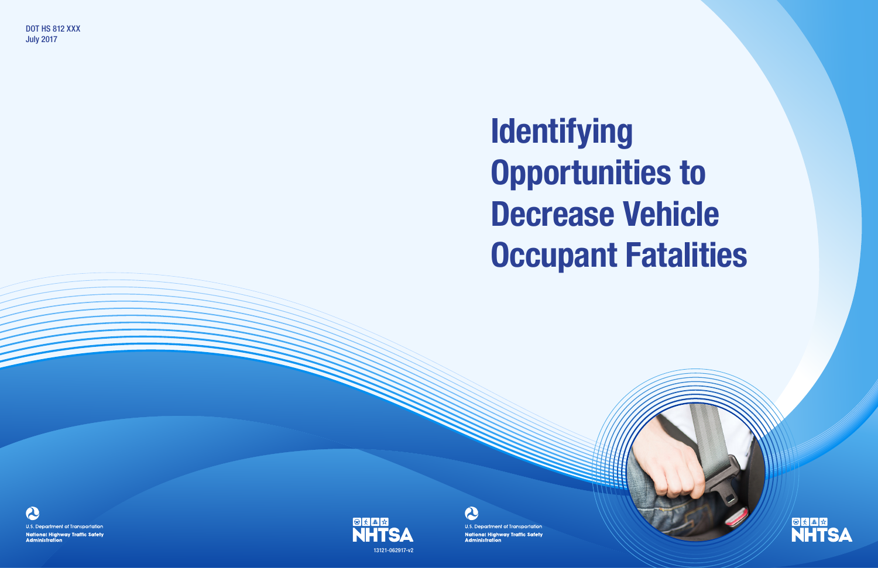# Identifying Opportunities to Decrease Vehicle **Occupant Fatalities**



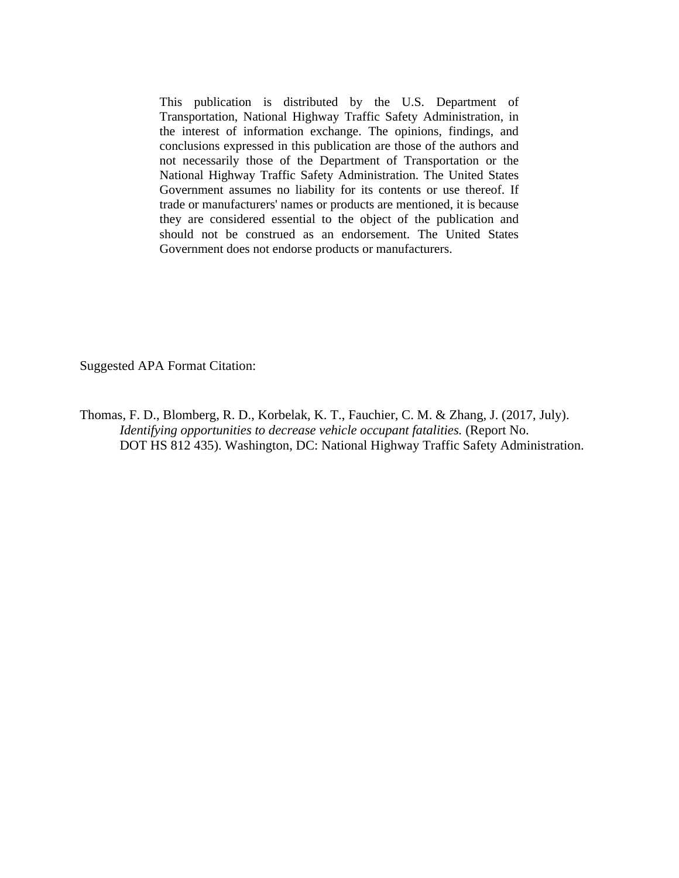This publication is distributed by the U.S. Department of Transportation, National Highway Traffic Safety Administration, in the interest of information exchange. The opinions, findings, and conclusions expressed in this publication are those of the authors and not necessarily those of the Department of Transportation or the National Highway Traffic Safety Administration. The United States Government assumes no liability for its contents or use thereof. If trade or manufacturers' names or products are mentioned, it is because they are considered essential to the object of the publication and should not be construed as an endorsement. The United States Government does not endorse products or manufacturers.

Suggested APA Format Citation:

Thomas, F. D., Blomberg, R. D., Korbelak, K. T., Fauchier, C. M. & Zhang, J. (2017, July). *Identifying opportunities to decrease vehicle occupant fatalities.* (Report No. DOT HS 812 435). Washington, DC: National Highway Traffic Safety Administration.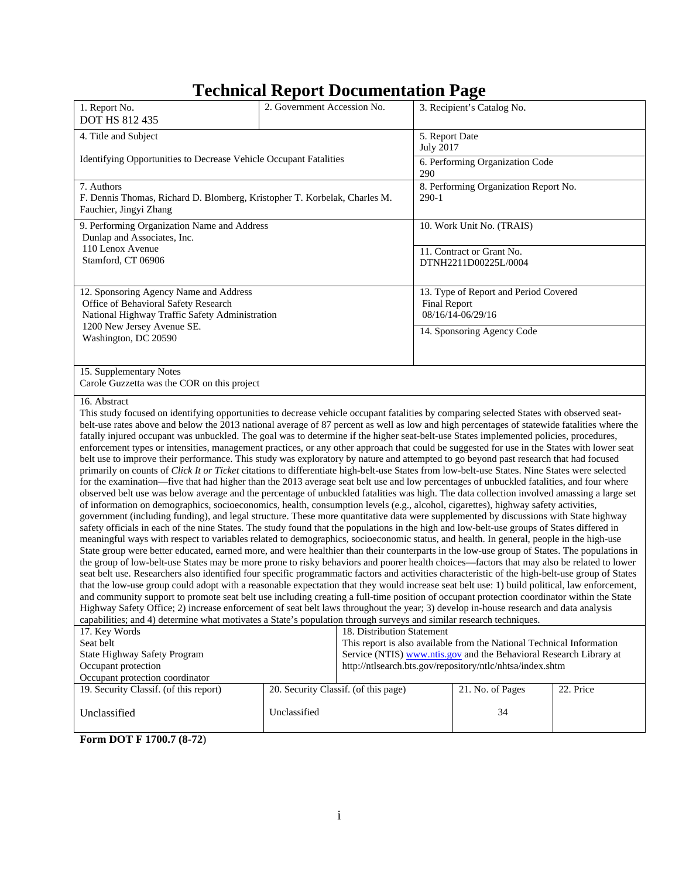## **Technical Report Documentation Page**

| 1. Report No.<br><b>DOT HS 812 435</b>                                                                                                                                                                                                                                                                                                                                                                                                                                                                                                                                                                                                                                                                                                                                                                                                                                                                                                                                                                                                                                                                                                                                                                                                                                                                                                                                                                                                                                                                                                                                                                                                                                                                                                                                                                                                                                                                                                                                                                                                                                                                                                                                                                                                                                                                                                                                                                                                                                                                                                                                                                                                                                                                                                                                        | 2. Government Accession No.          |                            |                                        | 3. Recipient's Catalog No.                                                                                                                                                                               |           |
|-------------------------------------------------------------------------------------------------------------------------------------------------------------------------------------------------------------------------------------------------------------------------------------------------------------------------------------------------------------------------------------------------------------------------------------------------------------------------------------------------------------------------------------------------------------------------------------------------------------------------------------------------------------------------------------------------------------------------------------------------------------------------------------------------------------------------------------------------------------------------------------------------------------------------------------------------------------------------------------------------------------------------------------------------------------------------------------------------------------------------------------------------------------------------------------------------------------------------------------------------------------------------------------------------------------------------------------------------------------------------------------------------------------------------------------------------------------------------------------------------------------------------------------------------------------------------------------------------------------------------------------------------------------------------------------------------------------------------------------------------------------------------------------------------------------------------------------------------------------------------------------------------------------------------------------------------------------------------------------------------------------------------------------------------------------------------------------------------------------------------------------------------------------------------------------------------------------------------------------------------------------------------------------------------------------------------------------------------------------------------------------------------------------------------------------------------------------------------------------------------------------------------------------------------------------------------------------------------------------------------------------------------------------------------------------------------------------------------------------------------------------------------------|--------------------------------------|----------------------------|----------------------------------------|----------------------------------------------------------------------------------------------------------------------------------------------------------------------------------------------------------|-----------|
| 4. Title and Subject                                                                                                                                                                                                                                                                                                                                                                                                                                                                                                                                                                                                                                                                                                                                                                                                                                                                                                                                                                                                                                                                                                                                                                                                                                                                                                                                                                                                                                                                                                                                                                                                                                                                                                                                                                                                                                                                                                                                                                                                                                                                                                                                                                                                                                                                                                                                                                                                                                                                                                                                                                                                                                                                                                                                                          |                                      |                            | 5. Report Date<br><b>July 2017</b>     |                                                                                                                                                                                                          |           |
| Identifying Opportunities to Decrease Vehicle Occupant Fatalities                                                                                                                                                                                                                                                                                                                                                                                                                                                                                                                                                                                                                                                                                                                                                                                                                                                                                                                                                                                                                                                                                                                                                                                                                                                                                                                                                                                                                                                                                                                                                                                                                                                                                                                                                                                                                                                                                                                                                                                                                                                                                                                                                                                                                                                                                                                                                                                                                                                                                                                                                                                                                                                                                                             |                                      |                            | 6. Performing Organization Code<br>290 |                                                                                                                                                                                                          |           |
| 7. Authors<br>F. Dennis Thomas, Richard D. Blomberg, Kristopher T. Korbelak, Charles M.<br>Fauchier, Jingyi Zhang                                                                                                                                                                                                                                                                                                                                                                                                                                                                                                                                                                                                                                                                                                                                                                                                                                                                                                                                                                                                                                                                                                                                                                                                                                                                                                                                                                                                                                                                                                                                                                                                                                                                                                                                                                                                                                                                                                                                                                                                                                                                                                                                                                                                                                                                                                                                                                                                                                                                                                                                                                                                                                                             |                                      |                            | $290-1$                                | 8. Performing Organization Report No.                                                                                                                                                                    |           |
| 9. Performing Organization Name and Address<br>Dunlap and Associates, Inc.                                                                                                                                                                                                                                                                                                                                                                                                                                                                                                                                                                                                                                                                                                                                                                                                                                                                                                                                                                                                                                                                                                                                                                                                                                                                                                                                                                                                                                                                                                                                                                                                                                                                                                                                                                                                                                                                                                                                                                                                                                                                                                                                                                                                                                                                                                                                                                                                                                                                                                                                                                                                                                                                                                    |                                      |                            |                                        | 10. Work Unit No. (TRAIS)                                                                                                                                                                                |           |
| 110 Lenox Avenue<br>Stamford, CT 06906                                                                                                                                                                                                                                                                                                                                                                                                                                                                                                                                                                                                                                                                                                                                                                                                                                                                                                                                                                                                                                                                                                                                                                                                                                                                                                                                                                                                                                                                                                                                                                                                                                                                                                                                                                                                                                                                                                                                                                                                                                                                                                                                                                                                                                                                                                                                                                                                                                                                                                                                                                                                                                                                                                                                        |                                      |                            |                                        | 11. Contract or Grant No.<br>DTNH2211D00225L/0004                                                                                                                                                        |           |
| 12. Sponsoring Agency Name and Address<br>Office of Behavioral Safety Research<br>National Highway Traffic Safety Administration                                                                                                                                                                                                                                                                                                                                                                                                                                                                                                                                                                                                                                                                                                                                                                                                                                                                                                                                                                                                                                                                                                                                                                                                                                                                                                                                                                                                                                                                                                                                                                                                                                                                                                                                                                                                                                                                                                                                                                                                                                                                                                                                                                                                                                                                                                                                                                                                                                                                                                                                                                                                                                              |                                      |                            | <b>Final Report</b>                    | 13. Type of Report and Period Covered<br>08/16/14-06/29/16                                                                                                                                               |           |
| 1200 New Jersey Avenue SE.<br>Washington, DC 20590                                                                                                                                                                                                                                                                                                                                                                                                                                                                                                                                                                                                                                                                                                                                                                                                                                                                                                                                                                                                                                                                                                                                                                                                                                                                                                                                                                                                                                                                                                                                                                                                                                                                                                                                                                                                                                                                                                                                                                                                                                                                                                                                                                                                                                                                                                                                                                                                                                                                                                                                                                                                                                                                                                                            |                                      |                            |                                        | 14. Sponsoring Agency Code                                                                                                                                                                               |           |
| 15. Supplementary Notes<br>Carole Guzzetta was the COR on this project                                                                                                                                                                                                                                                                                                                                                                                                                                                                                                                                                                                                                                                                                                                                                                                                                                                                                                                                                                                                                                                                                                                                                                                                                                                                                                                                                                                                                                                                                                                                                                                                                                                                                                                                                                                                                                                                                                                                                                                                                                                                                                                                                                                                                                                                                                                                                                                                                                                                                                                                                                                                                                                                                                        |                                      |                            |                                        |                                                                                                                                                                                                          |           |
| 16. Abstract<br>This study focused on identifying opportunities to decrease vehicle occupant fatalities by comparing selected States with observed seat-<br>belt-use rates above and below the 2013 national average of 87 percent as well as low and high percentages of statewide fatalities where the<br>fatally injured occupant was unbuckled. The goal was to determine if the higher seat-belt-use States implemented policies, procedures,<br>enforcement types or intensities, management practices, or any other approach that could be suggested for use in the States with lower seat<br>belt use to improve their performance. This study was exploratory by nature and attempted to go beyond past research that had focused<br>primarily on counts of Click It or Ticket citations to differentiate high-belt-use States from low-belt-use States. Nine States were selected<br>for the examination—five that had higher than the 2013 average seat belt use and low percentages of unbuckled fatalities, and four where<br>observed belt use was below average and the percentage of unbuckled fatalities was high. The data collection involved amassing a large set<br>of information on demographics, socioeconomics, health, consumption levels (e.g., alcohol, cigarettes), highway safety activities,<br>government (including funding), and legal structure. These more quantitative data were supplemented by discussions with State highway<br>safety officials in each of the nine States. The study found that the populations in the high and low-belt-use groups of States differed in<br>meaningful ways with respect to variables related to demographics, socioeconomic status, and health. In general, people in the high-use<br>State group were better educated, earned more, and were healthier than their counterparts in the low-use group of States. The populations in<br>the group of low-belt-use States may be more prone to risky behaviors and poorer health choices—factors that may also be related to lower<br>seat belt use. Researchers also identified four specific programmatic factors and activities characteristic of the high-belt-use group of States<br>that the low-use group could adopt with a reasonable expectation that they would increase seat belt use: 1) build political, law enforcement,<br>and community support to promote seat belt use including creating a full-time position of occupant protection coordinator within the State<br>Highway Safety Office; 2) increase enforcement of seat belt laws throughout the year; 3) develop in-house research and data analysis<br>capabilities; and 4) determine what motivates a State's population through surveys and similar research techniques. |                                      |                            |                                        |                                                                                                                                                                                                          |           |
| 17. Key Words<br>Seat belt<br>State Highway Safety Program<br>Occupant protection<br>Occupant protection coordinator                                                                                                                                                                                                                                                                                                                                                                                                                                                                                                                                                                                                                                                                                                                                                                                                                                                                                                                                                                                                                                                                                                                                                                                                                                                                                                                                                                                                                                                                                                                                                                                                                                                                                                                                                                                                                                                                                                                                                                                                                                                                                                                                                                                                                                                                                                                                                                                                                                                                                                                                                                                                                                                          |                                      | 18. Distribution Statement |                                        | This report is also available from the National Technical Information<br>Service (NTIS) www.ntis.gov and the Behavioral Research Library at<br>http://ntlsearch.bts.gov/repository/ntlc/nhtsa/index.shtm |           |
| 19. Security Classif. (of this report)                                                                                                                                                                                                                                                                                                                                                                                                                                                                                                                                                                                                                                                                                                                                                                                                                                                                                                                                                                                                                                                                                                                                                                                                                                                                                                                                                                                                                                                                                                                                                                                                                                                                                                                                                                                                                                                                                                                                                                                                                                                                                                                                                                                                                                                                                                                                                                                                                                                                                                                                                                                                                                                                                                                                        | 20. Security Classif. (of this page) |                            |                                        | 21. No. of Pages                                                                                                                                                                                         | 22. Price |
| Unclassified<br>DAT E 1700 7 /0 79)                                                                                                                                                                                                                                                                                                                                                                                                                                                                                                                                                                                                                                                                                                                                                                                                                                                                                                                                                                                                                                                                                                                                                                                                                                                                                                                                                                                                                                                                                                                                                                                                                                                                                                                                                                                                                                                                                                                                                                                                                                                                                                                                                                                                                                                                                                                                                                                                                                                                                                                                                                                                                                                                                                                                           | Unclassified                         |                            |                                        | 34                                                                                                                                                                                                       |           |

**Form DOT F 1700.7 (8-72**)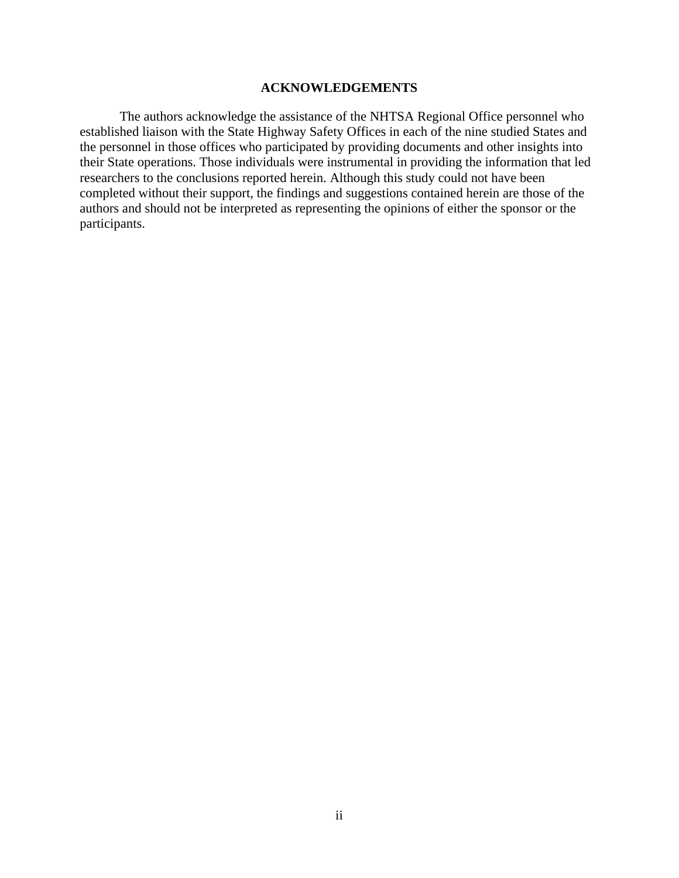#### **ACKNOWLEDGEMENTS**

The authors acknowledge the assistance of the NHTSA Regional Office personnel who established liaison with the State Highway Safety Offices in each of the nine studied States and the personnel in those offices who participated by providing documents and other insights into their State operations. Those individuals were instrumental in providing the information that led researchers to the conclusions reported herein. Although this study could not have been completed without their support, the findings and suggestions contained herein are those of the authors and should not be interpreted as representing the opinions of either the sponsor or the participants.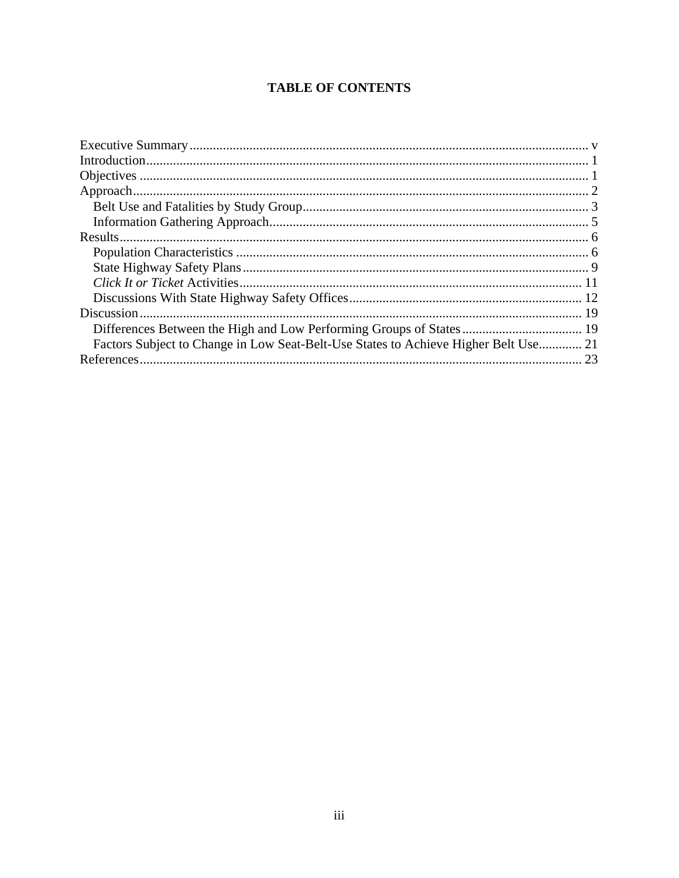## **TABLE OF CONTENTS**

| Factors Subject to Change in Low Seat-Belt-Use States to Achieve Higher Belt Use 21 |  |
|-------------------------------------------------------------------------------------|--|
|                                                                                     |  |
|                                                                                     |  |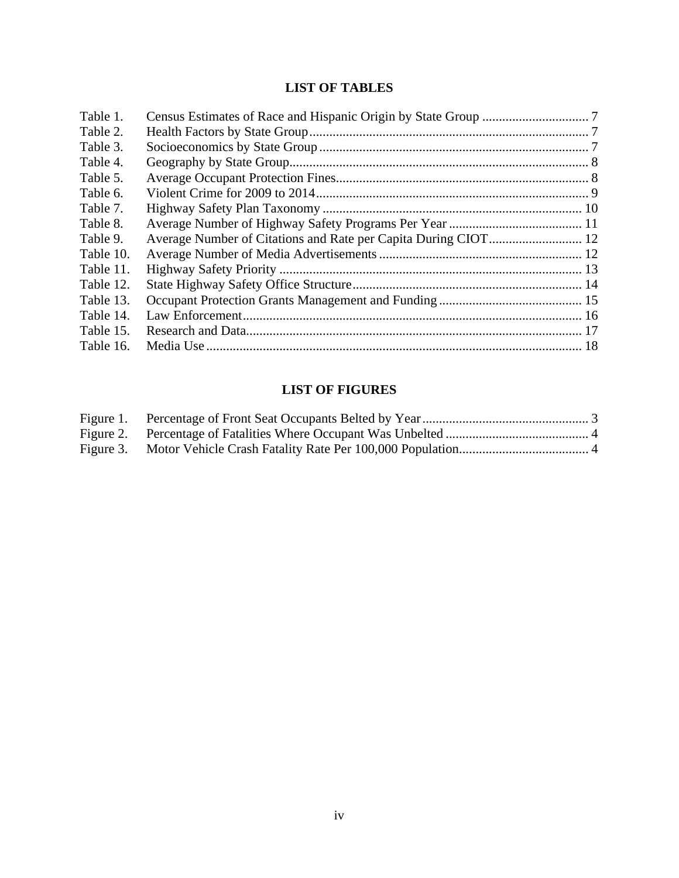## **LIST OF TABLES**

| Table 1.  |  |
|-----------|--|
| Table 2.  |  |
| Table 3.  |  |
| Table 4.  |  |
| Table 5.  |  |
| Table 6.  |  |
| Table 7.  |  |
| Table 8.  |  |
| Table 9.  |  |
| Table 10. |  |
| Table 11. |  |
| Table 12. |  |
| Table 13. |  |
| Table 14. |  |
| Table 15. |  |
| Table 16. |  |

## **LIST OF FIGURES**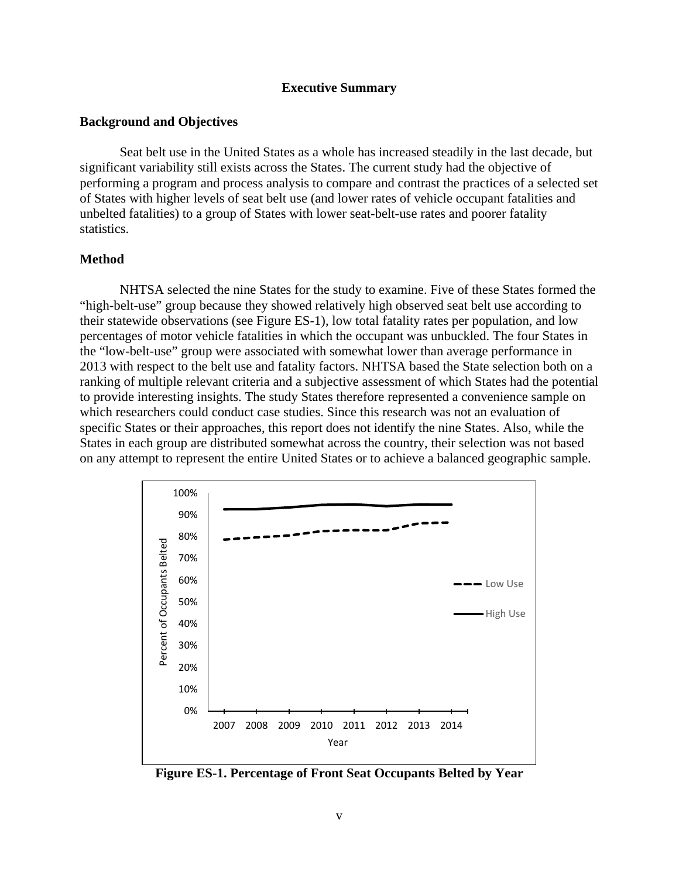#### **Executive Summary**

#### <span id="page-6-0"></span>**Background and Objectives**

Seat belt use in the United States as a whole has increased steadily in the last decade, but significant variability still exists across the States. The current study had the objective of performing a program and process analysis to compare and contrast the practices of a selected set of States with higher levels of seat belt use (and lower rates of vehicle occupant fatalities and unbelted fatalities) to a group of States with lower seat-belt-use rates and poorer fatality statistics.

#### **Method**

NHTSA selected the nine States for the study to examine. Five of these States formed the "high-belt-use" group because they showed relatively high observed seat belt use according to their statewide observations (see Figure ES-1), low total fatality rates per population, and low percentages of motor vehicle fatalities in which the occupant was unbuckled. The four States in the "low-belt-use" group were associated with somewhat lower than average performance in 2013 with respect to the belt use and fatality factors. NHTSA based the State selection both on a ranking of multiple relevant criteria and a subjective assessment of which States had the potential to provide interesting insights. The study States therefore represented a convenience sample on which researchers could conduct case studies. Since this research was not an evaluation of specific States or their approaches, this report does not identify the nine States. Also, while the States in each group are distributed somewhat across the country, their selection was not based on any attempt to represent the entire United States or to achieve a balanced geographic sample.



**Figure ES-1. Percentage of Front Seat Occupants Belted by Year**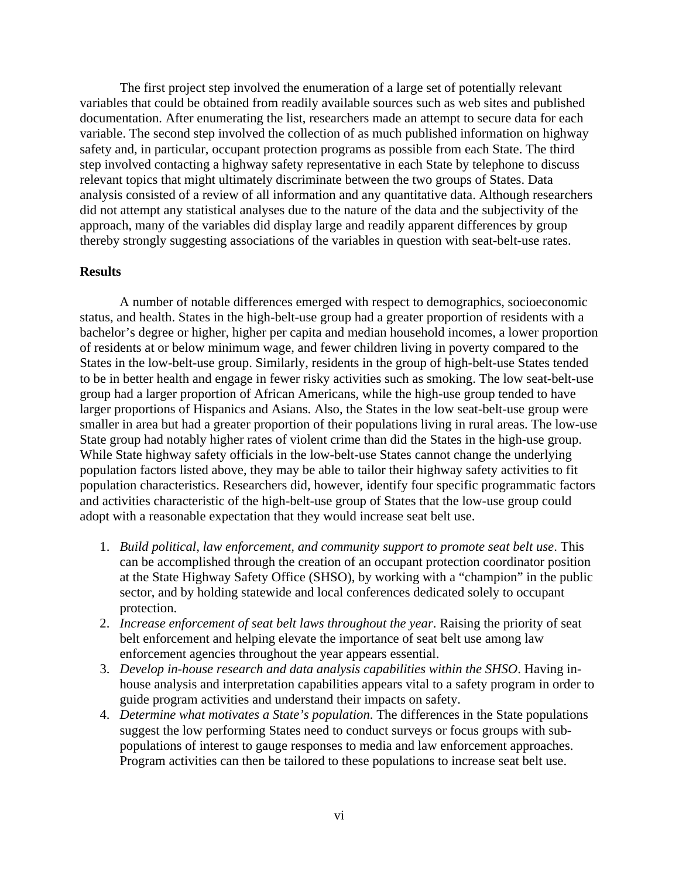The first project step involved the enumeration of a large set of potentially relevant variables that could be obtained from readily available sources such as web sites and published documentation. After enumerating the list, researchers made an attempt to secure data for each variable. The second step involved the collection of as much published information on highway safety and, in particular, occupant protection programs as possible from each State. The third step involved contacting a highway safety representative in each State by telephone to discuss relevant topics that might ultimately discriminate between the two groups of States. Data analysis consisted of a review of all information and any quantitative data. Although researchers did not attempt any statistical analyses due to the nature of the data and the subjectivity of the approach, many of the variables did display large and readily apparent differences by group thereby strongly suggesting associations of the variables in question with seat-belt-use rates.

#### **Results**

A number of notable differences emerged with respect to demographics, socioeconomic status, and health. States in the high-belt-use group had a greater proportion of residents with a bachelor's degree or higher, higher per capita and median household incomes, a lower proportion of residents at or below minimum wage, and fewer children living in poverty compared to the States in the low-belt-use group. Similarly, residents in the group of high-belt-use States tended to be in better health and engage in fewer risky activities such as smoking. The low seat-belt-use group had a larger proportion of African Americans, while the high-use group tended to have larger proportions of Hispanics and Asians. Also, the States in the low seat-belt-use group were smaller in area but had a greater proportion of their populations living in rural areas. The low-use State group had notably higher rates of violent crime than did the States in the high-use group. While State highway safety officials in the low-belt-use States cannot change the underlying population factors listed above, they may be able to tailor their highway safety activities to fit population characteristics. Researchers did, however, identify four specific programmatic factors and activities characteristic of the high-belt-use group of States that the low-use group could adopt with a reasonable expectation that they would increase seat belt use.

- 1. *Build political, law enforcement, and community support to promote seat belt use*. This can be accomplished through the creation of an occupant protection coordinator position at the State Highway Safety Office (SHSO), by working with a "champion" in the public sector, and by holding statewide and local conferences dedicated solely to occupant protection.
- 2. *Increase enforcement of seat belt laws throughout the year*. Raising the priority of seat belt enforcement and helping elevate the importance of seat belt use among law enforcement agencies throughout the year appears essential.
- 3. *Develop in-house research and data analysis capabilities within the SHSO*. Having inhouse analysis and interpretation capabilities appears vital to a safety program in order to guide program activities and understand their impacts on safety.
- 4. *Determine what motivates a State's population*. The differences in the State populations suggest the low performing States need to conduct surveys or focus groups with subpopulations of interest to gauge responses to media and law enforcement approaches. Program activities can then be tailored to these populations to increase seat belt use.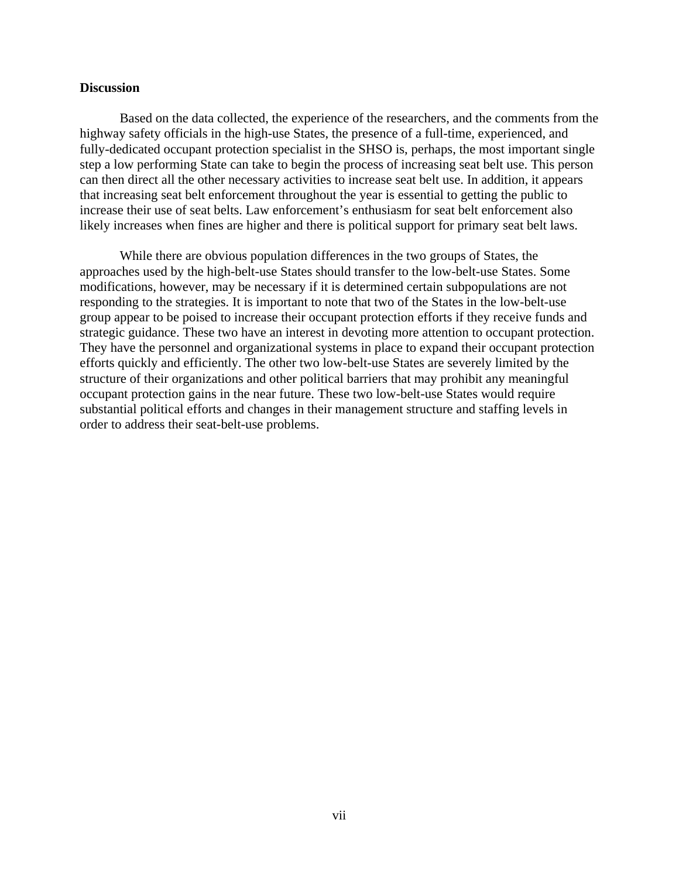#### **Discussion**

Based on the data collected, the experience of the researchers, and the comments from the highway safety officials in the high-use States, the presence of a full-time, experienced, and fully-dedicated occupant protection specialist in the SHSO is, perhaps, the most important single step a low performing State can take to begin the process of increasing seat belt use. This person can then direct all the other necessary activities to increase seat belt use. In addition, it appears that increasing seat belt enforcement throughout the year is essential to getting the public to increase their use of seat belts. Law enforcement's enthusiasm for seat belt enforcement also likely increases when fines are higher and there is political support for primary seat belt laws.

While there are obvious population differences in the two groups of States, the approaches used by the high-belt-use States should transfer to the low-belt-use States. Some modifications, however, may be necessary if it is determined certain subpopulations are not responding to the strategies. It is important to note that two of the States in the low-belt-use group appear to be poised to increase their occupant protection efforts if they receive funds and strategic guidance. These two have an interest in devoting more attention to occupant protection. They have the personnel and organizational systems in place to expand their occupant protection efforts quickly and efficiently. The other two low-belt-use States are severely limited by the structure of their organizations and other political barriers that may prohibit any meaningful occupant protection gains in the near future. These two low-belt-use States would require substantial political efforts and changes in their management structure and staffing levels in order to address their seat-belt-use problems.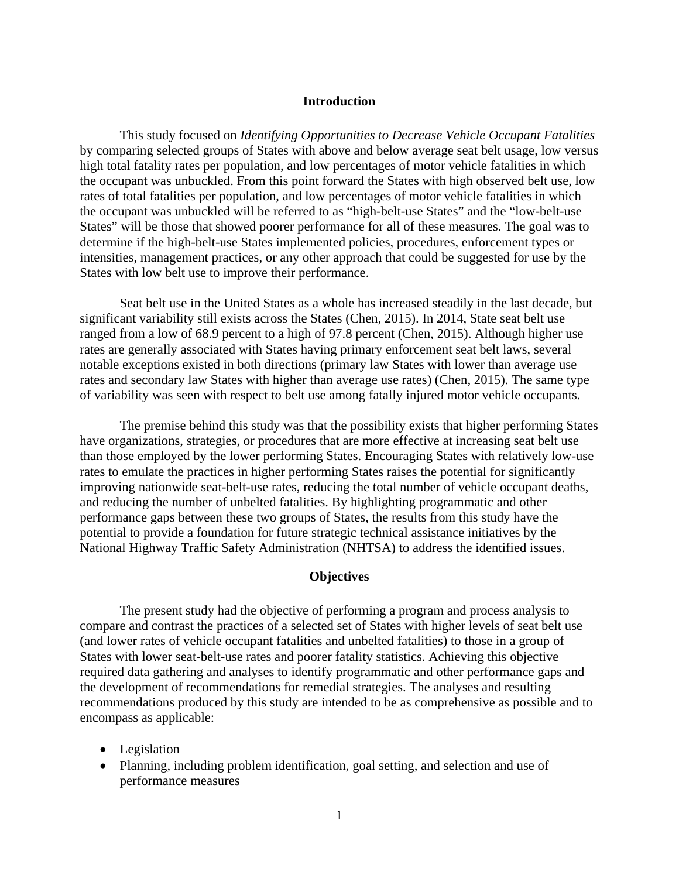#### **Introduction**

<span id="page-9-0"></span>This study focused on *Identifying Opportunities to Decrease Vehicle Occupant Fatalities* by comparing selected groups of States with above and below average seat belt usage, low versus high total fatality rates per population, and low percentages of motor vehicle fatalities in which the occupant was unbuckled. From this point forward the States with high observed belt use, low rates of total fatalities per population, and low percentages of motor vehicle fatalities in which the occupant was unbuckled will be referred to as "high-belt-use States" and the "low-belt-use States" will be those that showed poorer performance for all of these measures. The goal was to determine if the high-belt-use States implemented policies, procedures, enforcement types or intensities, management practices, or any other approach that could be suggested for use by the States with low belt use to improve their performance.

Seat belt use in the United States as a whole has increased steadily in the last decade, but significant variability still exists across the States (Chen, 2015). In 2014, State seat belt use ranged from a low of 68.9 percent to a high of 97.8 percent (Chen, 2015). Although higher use rates are generally associated with States having primary enforcement seat belt laws, several notable exceptions existed in both directions (primary law States with lower than average use rates and secondary law States with higher than average use rates) (Chen, 2015). The same type of variability was seen with respect to belt use among fatally injured motor vehicle occupants.

The premise behind this study was that the possibility exists that higher performing States have organizations, strategies, or procedures that are more effective at increasing seat belt use than those employed by the lower performing States. Encouraging States with relatively low-use rates to emulate the practices in higher performing States raises the potential for significantly improving nationwide seat-belt-use rates, reducing the total number of vehicle occupant deaths, and reducing the number of unbelted fatalities. By highlighting programmatic and other performance gaps between these two groups of States, the results from this study have the potential to provide a foundation for future strategic technical assistance initiatives by the National Highway Traffic Safety Administration (NHTSA) to address the identified issues.

#### **Objectives**

<span id="page-9-1"></span>The present study had the objective of performing a program and process analysis to compare and contrast the practices of a selected set of States with higher levels of seat belt use (and lower rates of vehicle occupant fatalities and unbelted fatalities) to those in a group of States with lower seat-belt-use rates and poorer fatality statistics. Achieving this objective required data gathering and analyses to identify programmatic and other performance gaps and the development of recommendations for remedial strategies. The analyses and resulting recommendations produced by this study are intended to be as comprehensive as possible and to encompass as applicable:

- Legislation
- Planning, including problem identification, goal setting, and selection and use of performance measures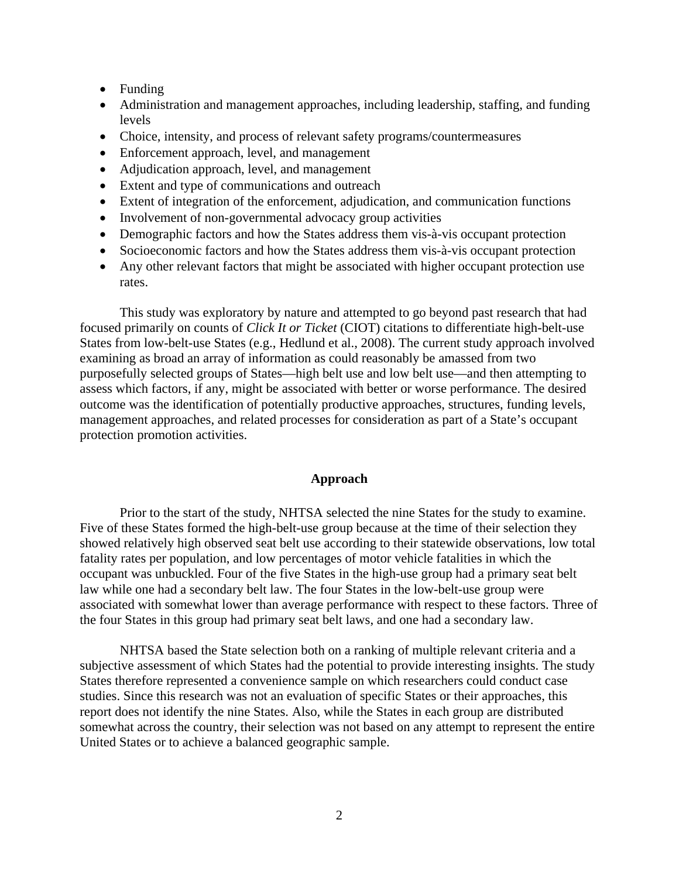- Funding
- Administration and management approaches, including leadership, staffing, and funding levels
- Choice, intensity, and process of relevant safety programs/countermeasures
- Enforcement approach, level, and management
- Adjudication approach, level, and management
- Extent and type of communications and outreach
- Extent of integration of the enforcement, adjudication, and communication functions
- Involvement of non-governmental advocacy group activities
- Demographic factors and how the States address them vis-à-vis occupant protection
- Socioeconomic factors and how the States address them vis-à-vis occupant protection
- Any other relevant factors that might be associated with higher occupant protection use rates.

This study was exploratory by nature and attempted to go beyond past research that had focused primarily on counts of *Click It or Ticket* (CIOT) citations to differentiate high-belt-use States from low-belt-use States (e.g., Hedlund et al., 2008). The current study approach involved examining as broad an array of information as could reasonably be amassed from two purposefully selected groups of States—high belt use and low belt use—and then attempting to assess which factors, if any, might be associated with better or worse performance. The desired outcome was the identification of potentially productive approaches, structures, funding levels, management approaches, and related processes for consideration as part of a State's occupant protection promotion activities.

#### **Approach**

<span id="page-10-0"></span>Prior to the start of the study, NHTSA selected the nine States for the study to examine. Five of these States formed the high-belt-use group because at the time of their selection they showed relatively high observed seat belt use according to their statewide observations, low total fatality rates per population, and low percentages of motor vehicle fatalities in which the occupant was unbuckled. Four of the five States in the high-use group had a primary seat belt law while one had a secondary belt law. The four States in the low-belt-use group were associated with somewhat lower than average performance with respect to these factors. Three of the four States in this group had primary seat belt laws, and one had a secondary law.

NHTSA based the State selection both on a ranking of multiple relevant criteria and a subjective assessment of which States had the potential to provide interesting insights. The study States therefore represented a convenience sample on which researchers could conduct case studies. Since this research was not an evaluation of specific States or their approaches, this report does not identify the nine States. Also, while the States in each group are distributed somewhat across the country, their selection was not based on any attempt to represent the entire United States or to achieve a balanced geographic sample.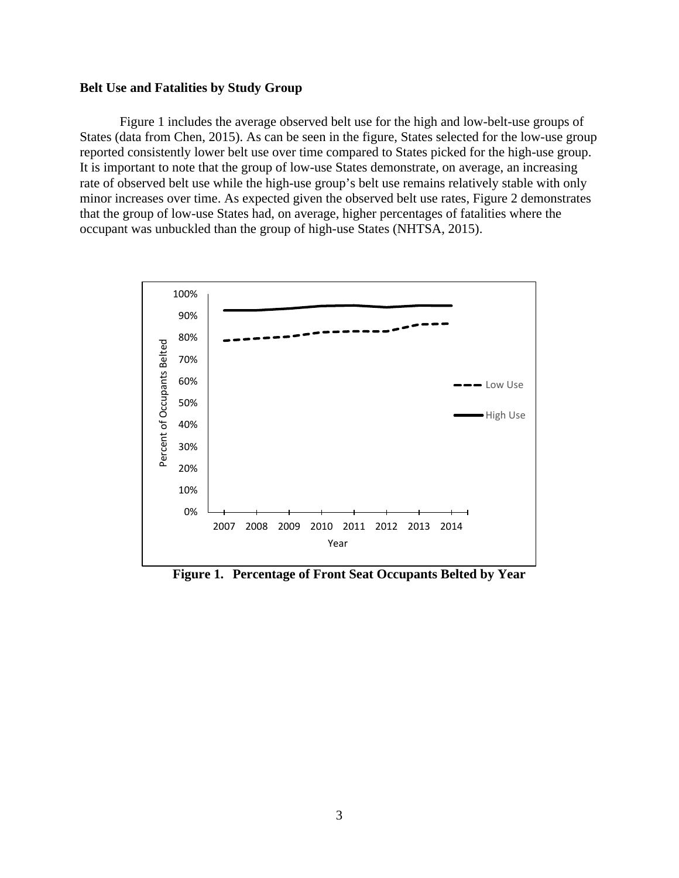#### <span id="page-11-0"></span>**Belt Use and Fatalities by Study Group**

[Figure 1](#page-11-1) includes the average observed belt use for the high and low-belt-use groups of States (data from Chen, 2015). As can be seen in the figure, States selected for the low-use group reported consistently lower belt use over time compared to States picked for the high-use group. It is important to note that the group of low-use States demonstrate, on average, an increasing rate of observed belt use while the high-use group's belt use remains relatively stable with only minor increases over time. As expected given the observed belt use rates, [Figure 2](#page-12-0) demonstrates that the group of low-use States had, on average, higher percentages of fatalities where the occupant was unbuckled than the group of high-use States (NHTSA, 2015).



<span id="page-11-1"></span>**Figure 1. Percentage of Front Seat Occupants Belted by Year**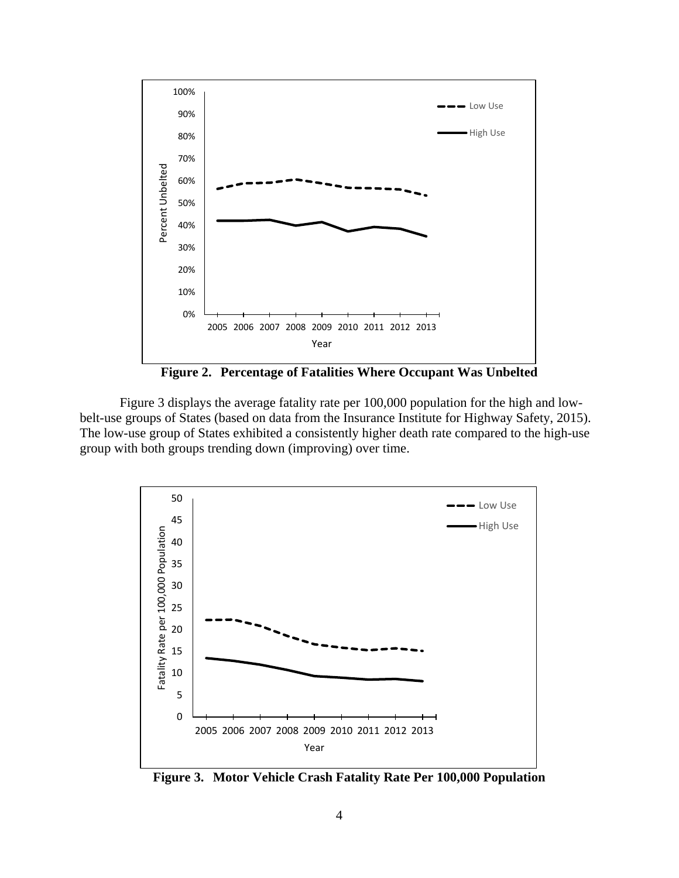

**Figure 2. Percentage of Fatalities Where Occupant Was Unbelted** 

<span id="page-12-0"></span>[Figure 3](#page-12-1) displays the average fatality rate per 100,000 population for the high and lowbelt-use groups of States (based on data from the Insurance Institute for Highway Safety, 2015). The low-use group of States exhibited a consistently higher death rate compared to the high-use group with both groups trending down (improving) over time.



<span id="page-12-1"></span>**Figure 3. Motor Vehicle Crash Fatality Rate Per 100,000 Population**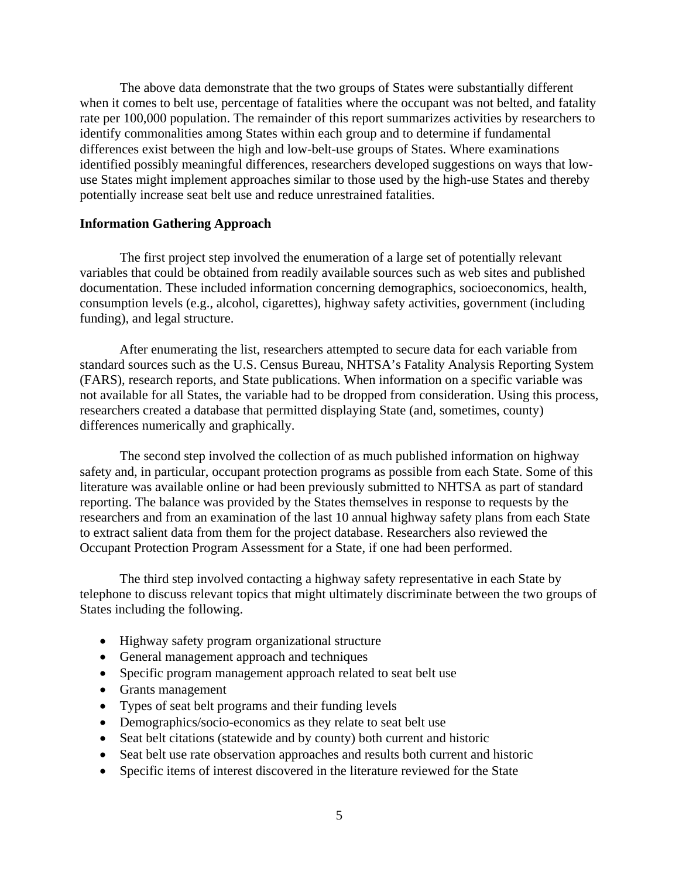The above data demonstrate that the two groups of States were substantially different when it comes to belt use, percentage of fatalities where the occupant was not belted, and fatality rate per 100,000 population. The remainder of this report summarizes activities by researchers to identify commonalities among States within each group and to determine if fundamental differences exist between the high and low-belt-use groups of States. Where examinations identified possibly meaningful differences, researchers developed suggestions on ways that lowuse States might implement approaches similar to those used by the high-use States and thereby potentially increase seat belt use and reduce unrestrained fatalities.

#### <span id="page-13-0"></span>**Information Gathering Approach**

The first project step involved the enumeration of a large set of potentially relevant variables that could be obtained from readily available sources such as web sites and published documentation. These included information concerning demographics, socioeconomics, health, consumption levels (e.g., alcohol, cigarettes), highway safety activities, government (including funding), and legal structure.

 After enumerating the list, researchers attempted to secure data for each variable from standard sources such as the U.S. Census Bureau, NHTSA's Fatality Analysis Reporting System (FARS), research reports, and State publications. When information on a specific variable was not available for all States, the variable had to be dropped from consideration. Using this process, researchers created a database that permitted displaying State (and, sometimes, county) differences numerically and graphically.

The second step involved the collection of as much published information on highway safety and, in particular, occupant protection programs as possible from each State. Some of this literature was available online or had been previously submitted to NHTSA as part of standard reporting. The balance was provided by the States themselves in response to requests by the researchers and from an examination of the last 10 annual highway safety plans from each State to extract salient data from them for the project database. Researchers also reviewed the Occupant Protection Program Assessment for a State, if one had been performed.

The third step involved contacting a highway safety representative in each State by telephone to discuss relevant topics that might ultimately discriminate between the two groups of States including the following.

- Highway safety program organizational structure
- General management approach and techniques
- Specific program management approach related to seat belt use
- Grants management
- Types of seat belt programs and their funding levels
- Demographics/socio-economics as they relate to seat belt use
- Seat belt citations (statewide and by county) both current and historic
- Seat belt use rate observation approaches and results both current and historic
- Specific items of interest discovered in the literature reviewed for the State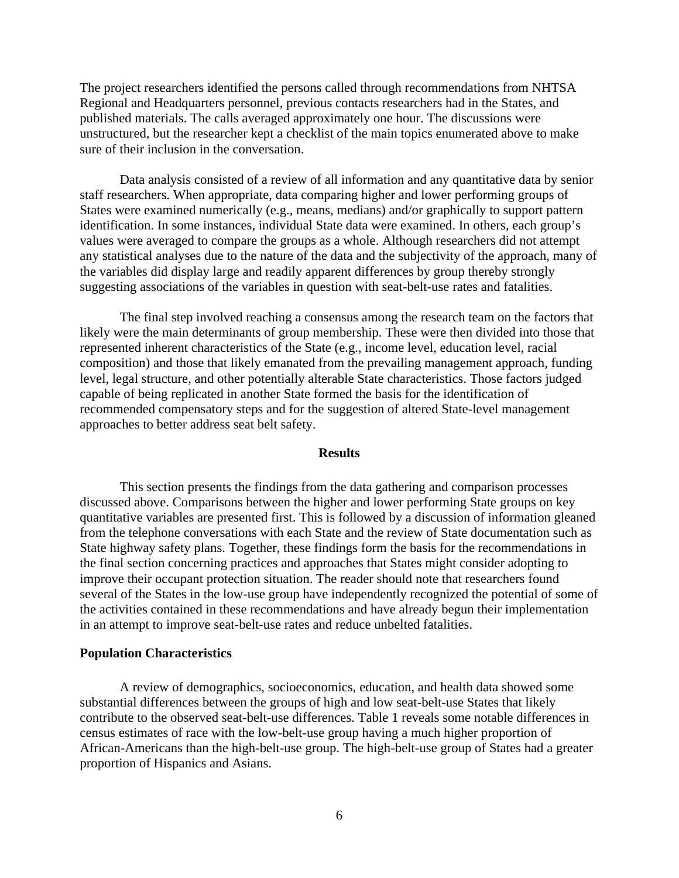The project researchers identified the persons called through recommendations from NHTSA Regional and Headquarters personnel, previous contacts researchers had in the States, and published materials. The calls averaged approximately one hour. The discussions were unstructured, but the researcher kept a checklist of the main topics enumerated above to make sure of their inclusion in the conversation.

 Data analysis consisted of a review of all information and any quantitative data by senior staff researchers. When appropriate, data comparing higher and lower performing groups of States were examined numerically (e.g., means, medians) and/or graphically to support pattern identification. In some instances, individual State data were examined. In others, each group's values were averaged to compare the groups as a whole. Although researchers did not attempt any statistical analyses due to the nature of the data and the subjectivity of the approach, many of the variables did display large and readily apparent differences by group thereby strongly suggesting associations of the variables in question with seat-belt-use rates and fatalities.

 The final step involved reaching a consensus among the research team on the factors that likely were the main determinants of group membership. These were then divided into those that represented inherent characteristics of the State (e.g., income level, education level, racial composition) and those that likely emanated from the prevailing management approach, funding level, legal structure, and other potentially alterable State characteristics. Those factors judged capable of being replicated in another State formed the basis for the identification of recommended compensatory steps and for the suggestion of altered State-level management approaches to better address seat belt safety.

#### **Results**

<span id="page-14-0"></span> This section presents the findings from the data gathering and comparison processes discussed above. Comparisons between the higher and lower performing State groups on key quantitative variables are presented first. This is followed by a discussion of information gleaned from the telephone conversations with each State and the review of State documentation such as State highway safety plans. Together, these findings form the basis for the recommendations in the final section concerning practices and approaches that States might consider adopting to improve their occupant protection situation. The reader should note that researchers found several of the States in the low-use group have independently recognized the potential of some of the activities contained in these recommendations and have already begun their implementation in an attempt to improve seat-belt-use rates and reduce unbelted fatalities.

#### <span id="page-14-1"></span>**Population Characteristics**

A review of demographics, socioeconomics, education, and health data showed some substantial differences between the groups of high and low seat-belt-use States that likely contribute to the observed seat-belt-use differences. [Table 1](#page-15-0) reveals some notable differences in census estimates of race with the low-belt-use group having a much higher proportion of African-Americans than the high-belt-use group. The high-belt-use group of States had a greater proportion of Hispanics and Asians.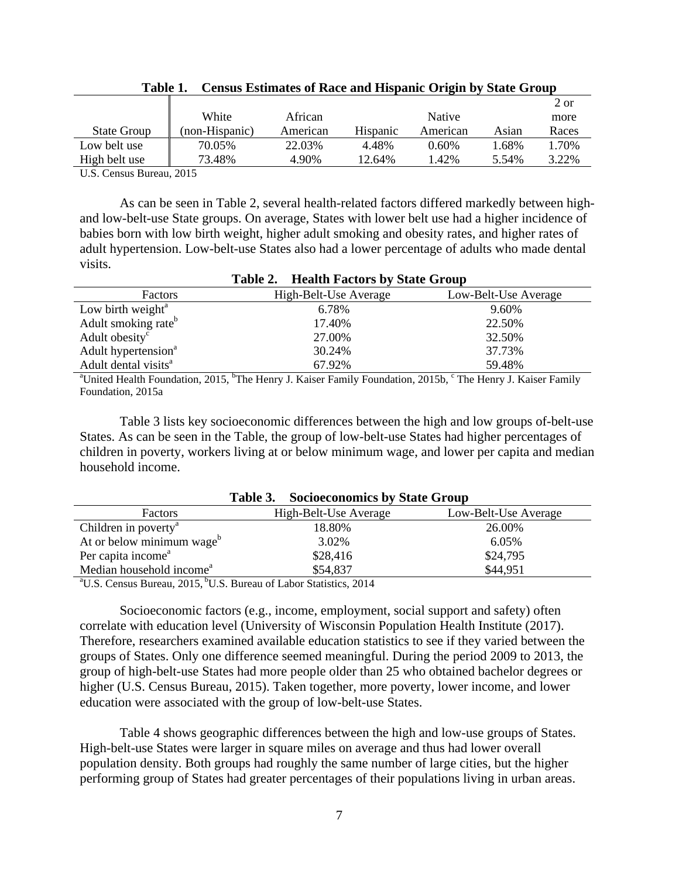<span id="page-15-0"></span>

|                    |                |          |          |          |       | 2 or  |
|--------------------|----------------|----------|----------|----------|-------|-------|
|                    | White          | African  |          | Native   |       | more  |
| <b>State Group</b> | (non-Hispanic) | American | Hispanic | American | Asian | Races |
| Low belt use       | 70.05%         | 22.03%   | 4.48%    | $0.60\%$ | 1.68% | 1.70% |
| High belt use      | 73.48%         | 4.90%    | 12.64%   | 1.42%    | 5.54% | 3.22% |
|                    |                |          |          |          |       |       |

**Table 1. Census Estimates of Race and Hispanic Origin by State Group** 

U.S. Census Bureau, 2015

As can be seen in [Table 2,](#page-15-1) several health-related factors differed markedly between highand low-belt-use State groups. On average, States with lower belt use had a higher incidence of babies born with low birth weight, higher adult smoking and obesity rates, and higher rates of adult hypertension. Low-belt-use States also had a lower percentage of adults who made dental visits.

<span id="page-15-1"></span>

| <b>Table 2. Health Factors by State Group</b>                                                                                                   |                       |                      |  |
|-------------------------------------------------------------------------------------------------------------------------------------------------|-----------------------|----------------------|--|
| Factors                                                                                                                                         | High-Belt-Use Average | Low-Belt-Use Average |  |
| Low birth weight $^{\rm a}$                                                                                                                     | 6.78%                 | 9.60%                |  |
| Adult smoking rate <sup>b</sup>                                                                                                                 | 17.40%                | 22.50%               |  |
| Adult obesity <sup>c</sup>                                                                                                                      | 27.00%                | 32.50%               |  |
| Adult hypertension <sup>a</sup>                                                                                                                 | 30.24%                | 37.73%               |  |
| Adult dental visits <sup>a</sup>                                                                                                                | 67.92%                | 59.48%               |  |
| <sup>a</sup> United Health Foundation, 2015, <sup>b</sup> The Henry J. Kaiser Family Foundation, 2015b, <sup>c</sup> The Henry J. Kaiser Family |                       |                      |  |

Foundation, 2015a

[Table 3](#page-15-2) lists key socioeconomic differences between the high and low groups of-belt-use States. As can be seen in the Table, the group of low-belt-use States had higher percentages of children in poverty, workers living at or below minimum wage, and lower per capita and median household income.

<span id="page-15-2"></span>

| <b>Table 5.</b> Socioeconomics by State Group         |                                             |                      |  |
|-------------------------------------------------------|---------------------------------------------|----------------------|--|
| Factors                                               | High-Belt-Use Average                       | Low-Belt-Use Average |  |
| Children in poverty <sup>a</sup>                      | 18.80%                                      | 26.00%               |  |
| At or below minimum wage <sup>b</sup>                 | 3.02%                                       | 6.05%                |  |
| Per capita income <sup>a</sup>                        | \$28,416                                    | \$24,795             |  |
| Median household income <sup>a</sup>                  | \$54,837                                    | \$44.951             |  |
| $0.017$ http:<br>$2\pi$ $\tau$ $\alpha$<br>$\sqrt{ }$ | $\alpha$ , $\beta$ , $\alpha$<br>$c \tau$ 1 |                      |  |

**Table 3. Socioeconomics by State Group** 

<sup>a</sup>U.S. Census Bureau, 2015, <sup>b</sup>U.S. Bureau of Labor Statistics, 2014

 Socioeconomic factors (e.g., income, employment, social support and safety) often correlate with education level (University of Wisconsin Population Health Institute (2017). Therefore, researchers examined available education statistics to see if they varied between the groups of States. Only one difference seemed meaningful. During the period 2009 to 2013, the group of high-belt-use States had more people older than 25 who obtained bachelor degrees or higher (U.S. Census Bureau, 2015). Taken together, more poverty, lower income, and lower education were associated with the group of low-belt-use States.

[Table 4](#page-16-0) shows geographic differences between the high and low-use groups of States. High-belt-use States were larger in square miles on average and thus had lower overall population density. Both groups had roughly the same number of large cities, but the higher performing group of States had greater percentages of their populations living in urban areas.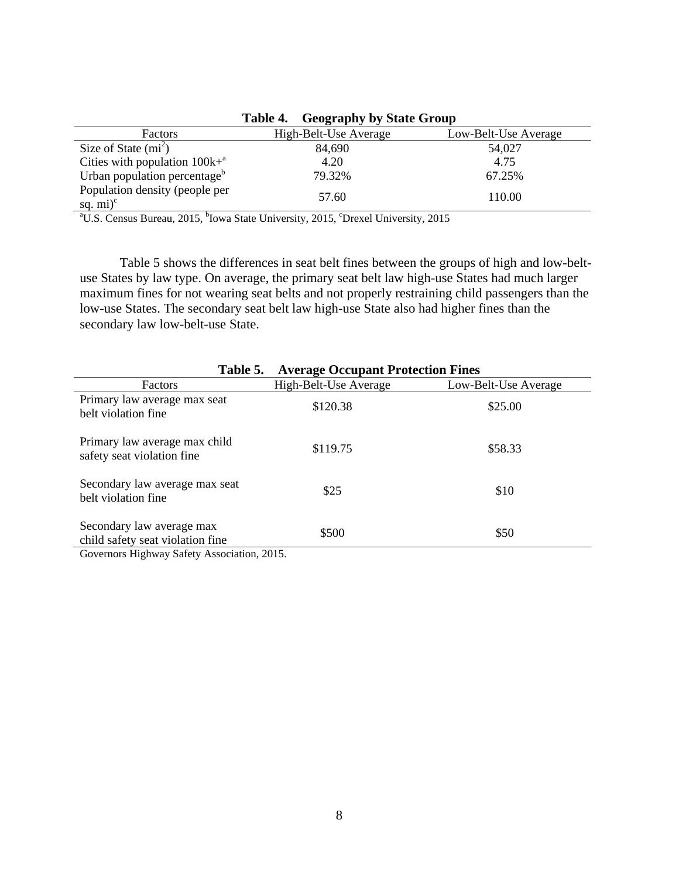<span id="page-16-0"></span>

|                                                                                                                       | Table 4.<br><b>Geography by State Group</b> |                      |  |
|-----------------------------------------------------------------------------------------------------------------------|---------------------------------------------|----------------------|--|
| Factors                                                                                                               | High-Belt-Use Average                       | Low-Belt-Use Average |  |
| Size of State $(m2)$                                                                                                  | 84,690                                      | 54,027               |  |
| Cities with population $100k+a$                                                                                       | 4.20                                        | 4.75                 |  |
| Urban population percentage <sup>b</sup>                                                                              | 79.32%                                      | 67.25%               |  |
| Population density (people per<br>sq. $mi$ <sup>c</sup>                                                               | 57.60                                       | 110.00               |  |
| <sup>a</sup> U.S. Census Bureau, 2015, <sup>b</sup> Iowa State University, 2015, <sup>c</sup> Drexel University, 2015 |                                             |                      |  |

**Table 4. Geography by State Group** 

[Table 5](#page-16-1) shows the differences in seat belt fines between the groups of high and low-beltuse States by law type. On average, the primary seat belt law high-use States had much larger maximum fines for not wearing seat belts and not properly restraining child passengers than the low-use States. The secondary seat belt law high-use State also had higher fines than the secondary law low-belt-use State.

<span id="page-16-1"></span>

| Table 5.                                                      | <b>Average Occupant Protection Fines</b> |                      |
|---------------------------------------------------------------|------------------------------------------|----------------------|
| Factors                                                       | High-Belt-Use Average                    | Low-Belt-Use Average |
| Primary law average max seat<br>belt violation fine           | \$120.38                                 | \$25.00              |
| Primary law average max child<br>safety seat violation fine   | \$119.75                                 | \$58.33              |
| Secondary law average max seat<br>belt violation fine         | \$25                                     | \$10                 |
| Secondary law average max<br>child safety seat violation fine | \$500                                    | \$50                 |

Governors Highway Safety Association, 2015.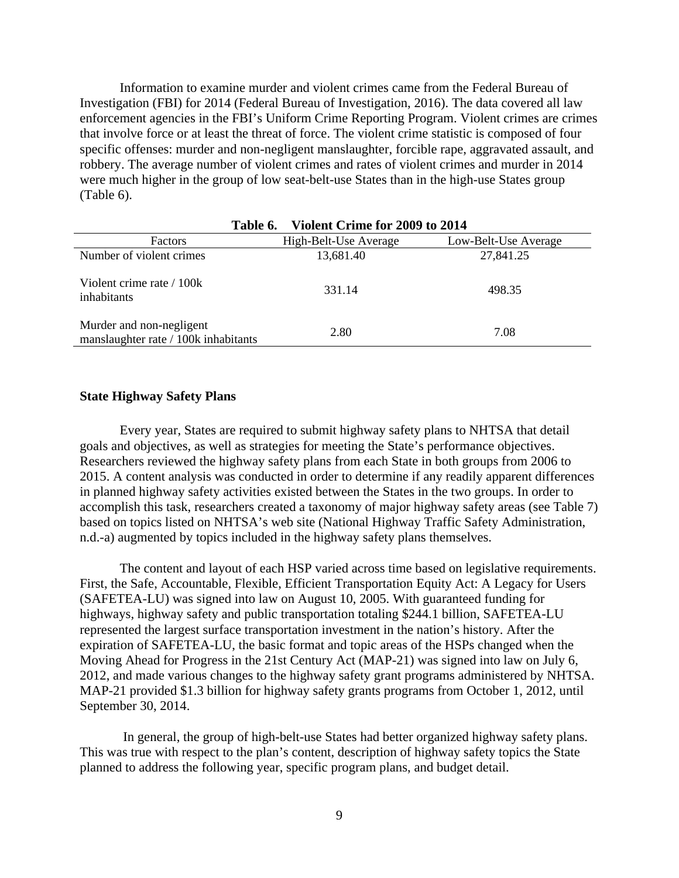Information to examine murder and violent crimes came from the Federal Bureau of Investigation (FBI) for 2014 (Federal Bureau of Investigation, 2016). The data covered all law enforcement agencies in the FBI's Uniform Crime Reporting Program. Violent crimes are crimes that involve force or at least the threat of force. The violent crime statistic is composed of four specific offenses: murder and non-negligent manslaughter, forcible rape, aggravated assault, and robbery. The average number of violent crimes and rates of violent crimes and murder in 2014 were much higher in the group of low seat-belt-use States than in the high-use States group [\(Table 6\)](#page-17-1).

<span id="page-17-1"></span>

| Violent Crime for 2009 to 2014<br>Table 6.                       |                       |                      |  |
|------------------------------------------------------------------|-----------------------|----------------------|--|
| <b>Factors</b>                                                   | High-Belt-Use Average | Low-Belt-Use Average |  |
| Number of violent crimes                                         | 13,681.40             | 27,841.25            |  |
| Violent crime rate / 100k<br>inhabitants                         | 331.14                | 498.35               |  |
| Murder and non-negligent<br>manslaughter rate / 100k inhabitants | 2.80                  | 7.08                 |  |

#### <span id="page-17-0"></span>**State Highway Safety Plans**

Every year, States are required to submit highway safety plans to NHTSA that detail goals and objectives, as well as strategies for meeting the State's performance objectives. Researchers reviewed the highway safety plans from each State in both groups from 2006 to 2015. A content analysis was conducted in order to determine if any readily apparent differences in planned highway safety activities existed between the States in the two groups. In order to accomplish this task, researchers created a taxonomy of major highway safety areas (see [Table 7\)](#page-18-0) based on topics listed on NHTSA's web site (National Highway Traffic Safety Administration, n.d.-a) augmented by topics included in the highway safety plans themselves.

The content and layout of each HSP varied across time based on legislative requirements. First, the Safe, Accountable, Flexible, Efficient Transportation Equity Act: A Legacy for Users (SAFETEA-LU) was signed into law on August 10, 2005. With guaranteed funding for highways, highway safety and public transportation totaling \$244.1 billion, SAFETEA-LU represented the largest surface transportation investment in the nation's history. After the expiration of SAFETEA-LU, the basic format and topic areas of the HSPs changed when the Moving Ahead for Progress in the 21st Century Act (MAP-21) was signed into law on July 6, 2012, and made various changes to the highway safety grant programs administered by NHTSA. MAP-21 provided \$1.3 billion for highway safety grants programs from October 1, 2012, until September 30, 2014.

 In general, the group of high-belt-use States had better organized highway safety plans. This was true with respect to the plan's content, description of highway safety topics the State planned to address the following year, specific program plans, and budget detail.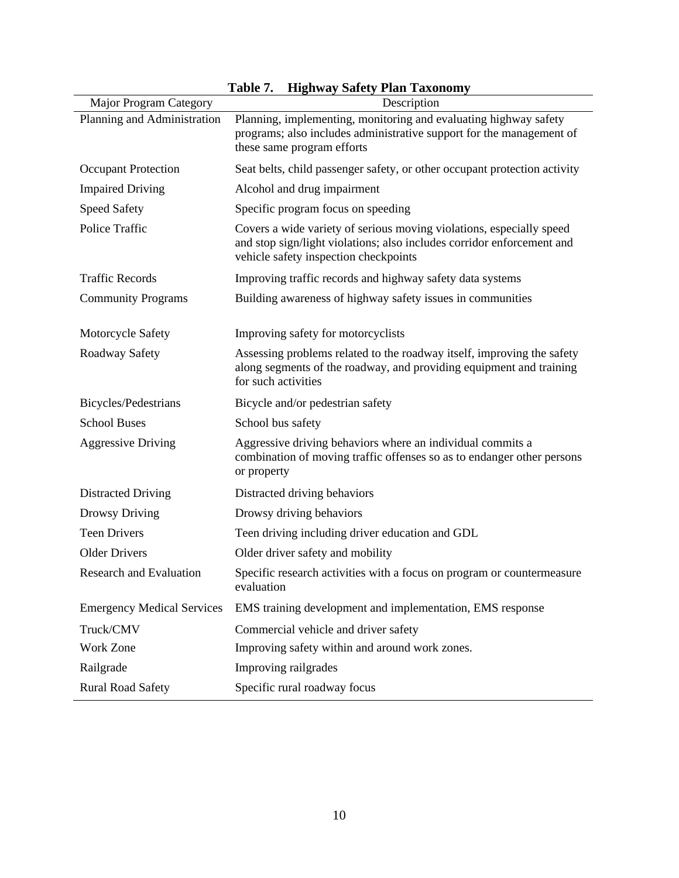<span id="page-18-0"></span>

|                                   | 1 avit <i>1</i> .<br>THEITWAY SAICLY I IAII TAXUIIUIII Y                                                                                                                                |
|-----------------------------------|-----------------------------------------------------------------------------------------------------------------------------------------------------------------------------------------|
| <b>Major Program Category</b>     | Description                                                                                                                                                                             |
| Planning and Administration       | Planning, implementing, monitoring and evaluating highway safety<br>programs; also includes administrative support for the management of<br>these same program efforts                  |
| <b>Occupant Protection</b>        | Seat belts, child passenger safety, or other occupant protection activity                                                                                                               |
| <b>Impaired Driving</b>           | Alcohol and drug impairment                                                                                                                                                             |
| <b>Speed Safety</b>               | Specific program focus on speeding                                                                                                                                                      |
| Police Traffic                    | Covers a wide variety of serious moving violations, especially speed<br>and stop sign/light violations; also includes corridor enforcement and<br>vehicle safety inspection checkpoints |
| <b>Traffic Records</b>            | Improving traffic records and highway safety data systems                                                                                                                               |
| <b>Community Programs</b>         | Building awareness of highway safety issues in communities                                                                                                                              |
| Motorcycle Safety                 | Improving safety for motorcyclists                                                                                                                                                      |
| Roadway Safety                    | Assessing problems related to the roadway itself, improving the safety<br>along segments of the roadway, and providing equipment and training<br>for such activities                    |
| Bicycles/Pedestrians              | Bicycle and/or pedestrian safety                                                                                                                                                        |
| <b>School Buses</b>               | School bus safety                                                                                                                                                                       |
| <b>Aggressive Driving</b>         | Aggressive driving behaviors where an individual commits a<br>combination of moving traffic offenses so as to endanger other persons<br>or property                                     |
| <b>Distracted Driving</b>         | Distracted driving behaviors                                                                                                                                                            |
| Drowsy Driving                    | Drowsy driving behaviors                                                                                                                                                                |
| <b>Teen Drivers</b>               | Teen driving including driver education and GDL                                                                                                                                         |
| <b>Older Drivers</b>              | Older driver safety and mobility                                                                                                                                                        |
| <b>Research and Evaluation</b>    | Specific research activities with a focus on program or countermeasure<br>evaluation                                                                                                    |
| <b>Emergency Medical Services</b> | EMS training development and implementation, EMS response                                                                                                                               |
| Truck/CMV                         | Commercial vehicle and driver safety                                                                                                                                                    |
| Work Zone                         | Improving safety within and around work zones.                                                                                                                                          |
| Railgrade                         | Improving railgrades                                                                                                                                                                    |
| <b>Rural Road Safety</b>          | Specific rural roadway focus                                                                                                                                                            |

|  |  |  | Table 7. Highway Safety Plan Taxonomy |
|--|--|--|---------------------------------------|
|--|--|--|---------------------------------------|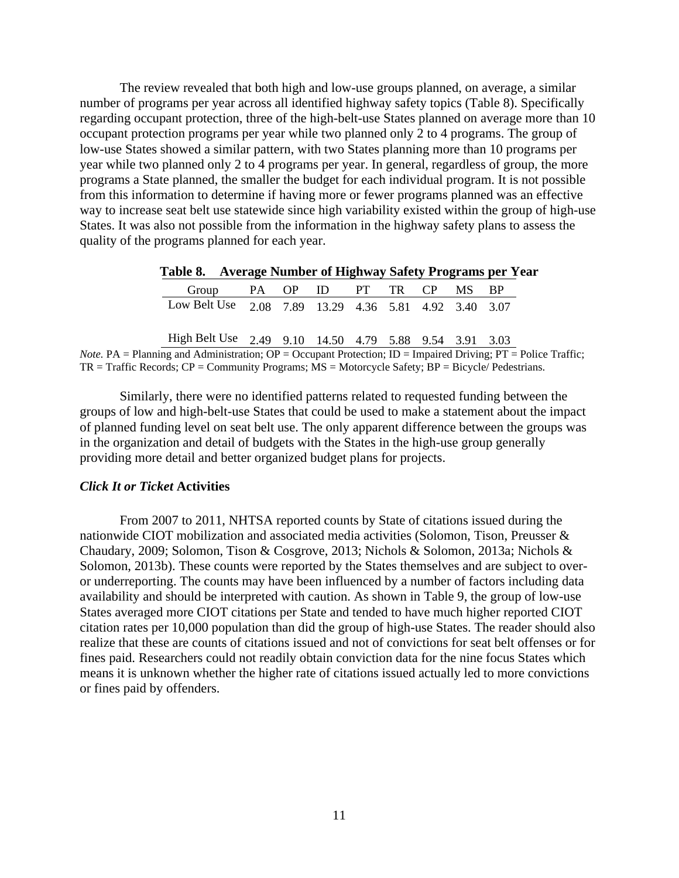The review revealed that both high and low-use groups planned, on average, a similar number of programs per year across all identified highway safety topics [\(Table 8\)](#page-19-1). Specifically regarding occupant protection, three of the high-belt-use States planned on average more than 10 occupant protection programs per year while two planned only 2 to 4 programs. The group of low-use States showed a similar pattern, with two States planning more than 10 programs per year while two planned only 2 to 4 programs per year. In general, regardless of group, the more programs a State planned, the smaller the budget for each individual program. It is not possible from this information to determine if having more or fewer programs planned was an effective way to increase seat belt use statewide since high variability existed within the group of high-use States. It was also not possible from the information in the highway safety plans to assess the quality of the programs planned for each year.

| Table 8. Average Number of Highway Safety Programs per Year |  |  |  |  |
|-------------------------------------------------------------|--|--|--|--|
| Group PA OP ID PT TR CP MS BP                               |  |  |  |  |
| Low Belt Use 2.08 7.89 13.29 4.36 5.81 4.92 3.40 3.07       |  |  |  |  |
| High Belt Use 2.49 9.10 14.50 4.79 5.88 9.54 3.91 3.03      |  |  |  |  |

<span id="page-19-1"></span>**Table 8. Average Number of Highway Safety Programs per Year**

*Note.* PA = Planning and Administration;  $\overline{OP}$  = Occupant Protection;  $\overline{ID}$  = Impaired Driving;  $\overline{PT}$  = Police Traffic;  $TR = Traffic Records; CP = Community Programs; MS = Motorcycle Safety; BP = Bicycle/Pedestrians.$ 

Similarly, there were no identified patterns related to requested funding between the groups of low and high-belt-use States that could be used to make a statement about the impact of planned funding level on seat belt use. The only apparent difference between the groups was in the organization and detail of budgets with the States in the high-use group generally providing more detail and better organized budget plans for projects.

#### <span id="page-19-0"></span>*Click It or Ticket* **Activities**

From 2007 to 2011, NHTSA reported counts by State of citations issued during the nationwide CIOT mobilization and associated media activities (Solomon, Tison, Preusser & Chaudary, 2009; Solomon, Tison & Cosgrove, 2013; Nichols & Solomon, 2013a; Nichols & Solomon, 2013b). These counts were reported by the States themselves and are subject to overor underreporting. The counts may have been influenced by a number of factors including data availability and should be interpreted with caution. As shown in [Table 9,](#page-20-1) the group of low-use States averaged more CIOT citations per State and tended to have much higher reported CIOT citation rates per 10,000 population than did the group of high-use States. The reader should also realize that these are counts of citations issued and not of convictions for seat belt offenses or for fines paid. Researchers could not readily obtain conviction data for the nine focus States which means it is unknown whether the higher rate of citations issued actually led to more convictions or fines paid by offenders.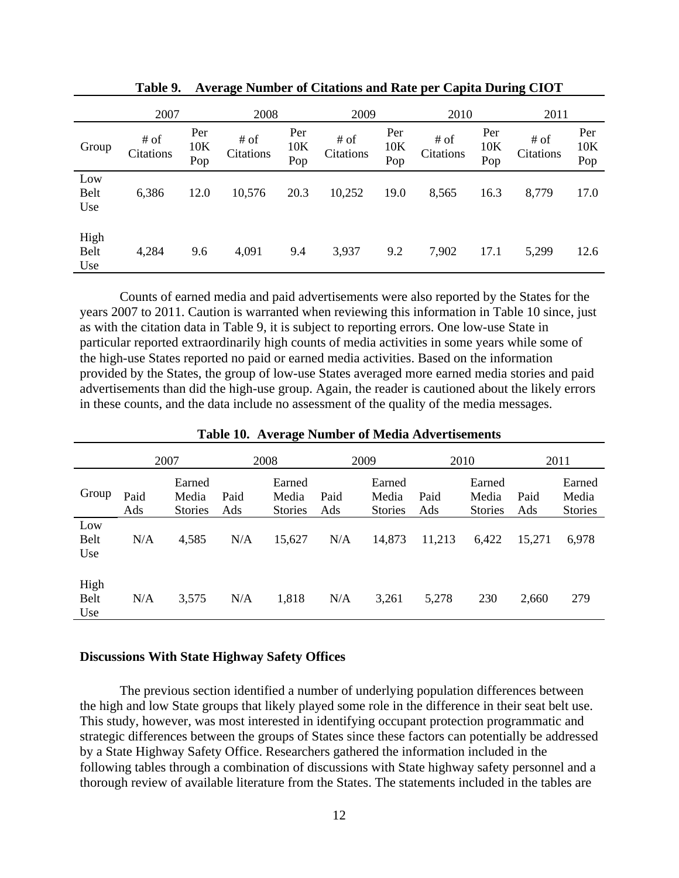<span id="page-20-1"></span>

|                     | 2007              |                   | 2008              |                   | 2009              |                   | 2010              |                   | 2011              |                   |
|---------------------|-------------------|-------------------|-------------------|-------------------|-------------------|-------------------|-------------------|-------------------|-------------------|-------------------|
| Group               | # of<br>Citations | Per<br>10K<br>Pop | # of<br>Citations | Per<br>10K<br>Pop | # of<br>Citations | Per<br>10K<br>Pop | # of<br>Citations | Per<br>10K<br>Pop | # of<br>Citations | Per<br>10K<br>Pop |
| Low<br>Belt<br>Use  | 6,386             | 12.0              | 10,576            | 20.3              | 10,252            | 19.0              | 8,565             | 16.3              | 8,779             | 17.0              |
| High<br>Belt<br>Use | 4,284             | 9.6               | 4,091             | 9.4               | 3,937             | 9.2               | 7,902             | 17.1              | 5,299             | 12.6              |

**Table 9. Average Number of Citations and Rate per Capita During CIOT** 

 Counts of earned media and paid advertisements were also reported by the States for the years 2007 to 2011. Caution is warranted when reviewing this information in [Table 10](#page-20-2) since, just as with the citation data in [Table 9,](#page-20-1) it is subject to reporting errors. One low-use State in particular reported extraordinarily high counts of media activities in some years while some of the high-use States reported no paid or earned media activities. Based on the information provided by the States, the group of low-use States averaged more earned media stories and paid advertisements than did the high-use group. Again, the reader is cautioned about the likely errors in these counts, and the data include no assessment of the quality of the media messages.

<span id="page-20-2"></span>

|                     |             | 2007                              |             | o<br>2008                         |             | 2009                              | 2010        |                                   |             | 2011                              |
|---------------------|-------------|-----------------------------------|-------------|-----------------------------------|-------------|-----------------------------------|-------------|-----------------------------------|-------------|-----------------------------------|
| Group               | Paid<br>Ads | Earned<br>Media<br><b>Stories</b> | Paid<br>Ads | Earned<br>Media<br><b>Stories</b> | Paid<br>Ads | Earned<br>Media<br><b>Stories</b> | Paid<br>Ads | Earned<br>Media<br><b>Stories</b> | Paid<br>Ads | Earned<br>Media<br><b>Stories</b> |
| Low<br>Belt<br>Use  | N/A         | 4,585                             | N/A         | 15,627                            | N/A         | 14,873                            | 11,213      | 6,422                             | 15,271      | 6,978                             |
| High<br>Belt<br>Use | N/A         | 3,575                             | N/A         | 1,818                             | N/A         | 3,261                             | 5,278       | 230                               | 2,660       | 279                               |

**Table 10. Average Number of Media Advertisements** 

#### <span id="page-20-0"></span>**Discussions With State Highway Safety Offices**

The previous section identified a number of underlying population differences between the high and low State groups that likely played some role in the difference in their seat belt use. This study, however, was most interested in identifying occupant protection programmatic and strategic differences between the groups of States since these factors can potentially be addressed by a State Highway Safety Office. Researchers gathered the information included in the following tables through a combination of discussions with State highway safety personnel and a thorough review of available literature from the States. The statements included in the tables are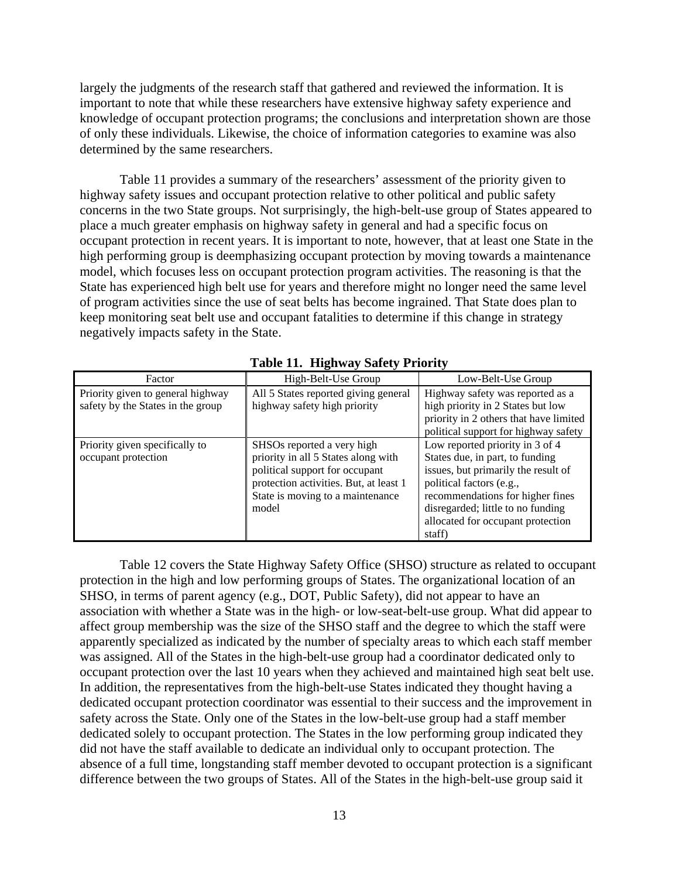largely the judgments of the research staff that gathered and reviewed the information. It is important to note that while these researchers have extensive highway safety experience and knowledge of occupant protection programs; the conclusions and interpretation shown are those of only these individuals. Likewise, the choice of information categories to examine was also determined by the same researchers.

[Table 11](#page-21-0) provides a summary of the researchers' assessment of the priority given to highway safety issues and occupant protection relative to other political and public safety concerns in the two State groups. Not surprisingly, the high-belt-use group of States appeared to place a much greater emphasis on highway safety in general and had a specific focus on occupant protection in recent years. It is important to note, however, that at least one State in the high performing group is deemphasizing occupant protection by moving towards a maintenance model, which focuses less on occupant protection program activities. The reasoning is that the State has experienced high belt use for years and therefore might no longer need the same level of program activities since the use of seat belts has become ingrained. That State does plan to keep monitoring seat belt use and occupant fatalities to determine if this change in strategy negatively impacts safety in the State.

<span id="page-21-0"></span>

| Factor                                                                 | High-Belt-Use Group                                                                                                                                                                        | Low-Belt-Use Group                                                                                                                                                                                                                                            |
|------------------------------------------------------------------------|--------------------------------------------------------------------------------------------------------------------------------------------------------------------------------------------|---------------------------------------------------------------------------------------------------------------------------------------------------------------------------------------------------------------------------------------------------------------|
| Priority given to general highway<br>safety by the States in the group | All 5 States reported giving general<br>highway safety high priority                                                                                                                       | Highway safety was reported as a<br>high priority in 2 States but low<br>priority in 2 others that have limited<br>political support for highway safety                                                                                                       |
| Priority given specifically to<br>occupant protection                  | SHSOs reported a very high<br>priority in all 5 States along with<br>political support for occupant<br>protection activities. But, at least 1<br>State is moving to a maintenance<br>model | Low reported priority in 3 of 4<br>States due, in part, to funding<br>issues, but primarily the result of<br>political factors (e.g.,<br>recommendations for higher fines<br>disregarded; little to no funding<br>allocated for occupant protection<br>staff) |

**Table 11. Highway Safety Priority** 

[Table 12](#page-22-0) covers the State Highway Safety Office (SHSO) structure as related to occupant protection in the high and low performing groups of States. The organizational location of an SHSO, in terms of parent agency (e.g., DOT, Public Safety), did not appear to have an association with whether a State was in the high- or low-seat-belt-use group. What did appear to affect group membership was the size of the SHSO staff and the degree to which the staff were apparently specialized as indicated by the number of specialty areas to which each staff member was assigned. All of the States in the high-belt-use group had a coordinator dedicated only to occupant protection over the last 10 years when they achieved and maintained high seat belt use. In addition, the representatives from the high-belt-use States indicated they thought having a dedicated occupant protection coordinator was essential to their success and the improvement in safety across the State. Only one of the States in the low-belt-use group had a staff member dedicated solely to occupant protection. The States in the low performing group indicated they did not have the staff available to dedicate an individual only to occupant protection. The absence of a full time, longstanding staff member devoted to occupant protection is a significant difference between the two groups of States. All of the States in the high-belt-use group said it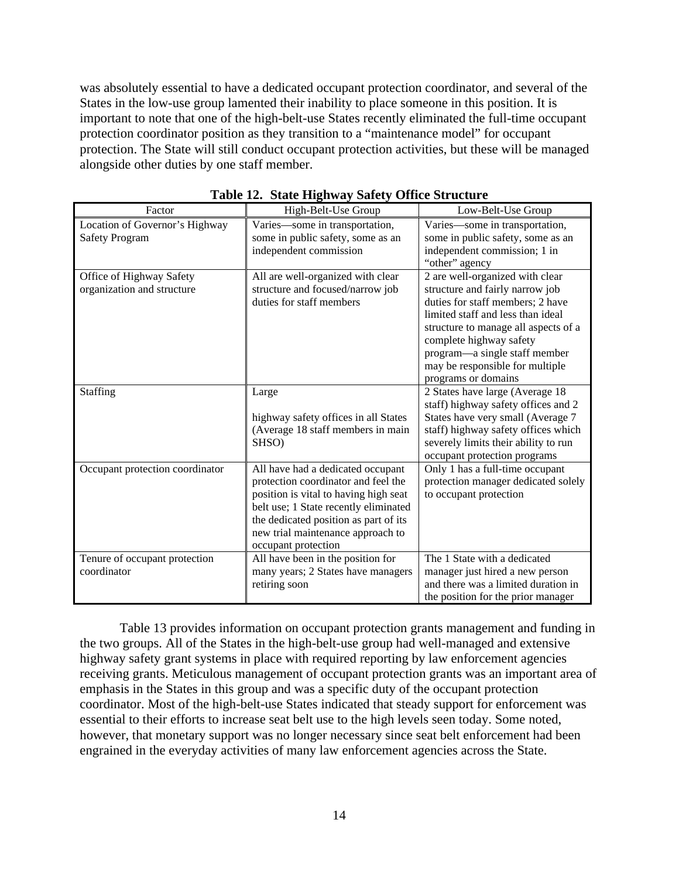was absolutely essential to have a dedicated occupant protection coordinator, and several of the States in the low-use group lamented their inability to place someone in this position. It is important to note that one of the high-belt-use States recently eliminated the full-time occupant protection coordinator position as they transition to a "maintenance model" for occupant protection. The State will still conduct occupant protection activities, but these will be managed alongside other duties by one staff member.

<span id="page-22-0"></span>

| Factor                                                  | High-Belt-Use Group                                                                                                                                                                                                                                             | Low-Belt-Use Group                                                                                                                                                                                                                                                                                        |
|---------------------------------------------------------|-----------------------------------------------------------------------------------------------------------------------------------------------------------------------------------------------------------------------------------------------------------------|-----------------------------------------------------------------------------------------------------------------------------------------------------------------------------------------------------------------------------------------------------------------------------------------------------------|
| Location of Governor's Highway<br><b>Safety Program</b> | Varies-some in transportation,<br>some in public safety, some as an<br>independent commission                                                                                                                                                                   | Varies-some in transportation,<br>some in public safety, some as an<br>independent commission; 1 in<br>"other" agency                                                                                                                                                                                     |
| Office of Highway Safety<br>organization and structure  | All are well-organized with clear<br>structure and focused/narrow job<br>duties for staff members                                                                                                                                                               | 2 are well-organized with clear<br>structure and fairly narrow job<br>duties for staff members; 2 have<br>limited staff and less than ideal<br>structure to manage all aspects of a<br>complete highway safety<br>program—a single staff member<br>may be responsible for multiple<br>programs or domains |
| Staffing                                                | Large<br>highway safety offices in all States<br>(Average 18 staff members in main<br>SHSO)                                                                                                                                                                     | 2 States have large (Average 18<br>staff) highway safety offices and 2<br>States have very small (Average 7<br>staff) highway safety offices which<br>severely limits their ability to run<br>occupant protection programs                                                                                |
| Occupant protection coordinator                         | All have had a dedicated occupant<br>protection coordinator and feel the<br>position is vital to having high seat<br>belt use; 1 State recently eliminated<br>the dedicated position as part of its<br>new trial maintenance approach to<br>occupant protection | Only 1 has a full-time occupant<br>protection manager dedicated solely<br>to occupant protection                                                                                                                                                                                                          |
| Tenure of occupant protection<br>coordinator            | All have been in the position for<br>many years; 2 States have managers<br>retiring soon                                                                                                                                                                        | The 1 State with a dedicated<br>manager just hired a new person<br>and there was a limited duration in<br>the position for the prior manager                                                                                                                                                              |

**Table 12. State Highway Safety Office Structure** 

[Table 13](#page-23-0) provides information on occupant protection grants management and funding in the two groups. All of the States in the high-belt-use group had well-managed and extensive highway safety grant systems in place with required reporting by law enforcement agencies receiving grants. Meticulous management of occupant protection grants was an important area of emphasis in the States in this group and was a specific duty of the occupant protection coordinator. Most of the high-belt-use States indicated that steady support for enforcement was essential to their efforts to increase seat belt use to the high levels seen today. Some noted, however, that monetary support was no longer necessary since seat belt enforcement had been engrained in the everyday activities of many law enforcement agencies across the State.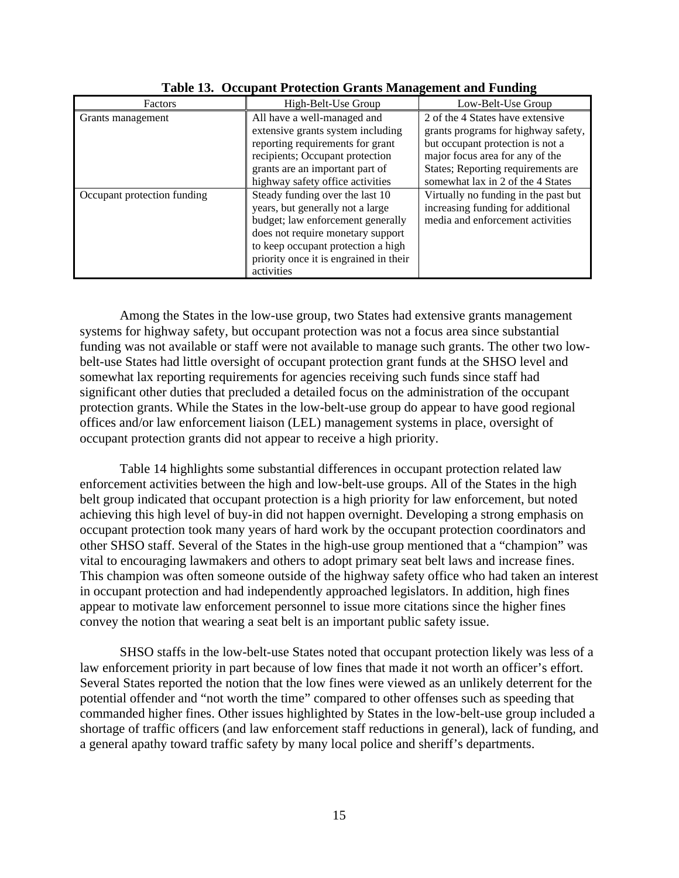<span id="page-23-0"></span>

|                             |                                                                                                                                                                                                                                             | ີ                                                                                                                                              |
|-----------------------------|---------------------------------------------------------------------------------------------------------------------------------------------------------------------------------------------------------------------------------------------|------------------------------------------------------------------------------------------------------------------------------------------------|
| Factors                     | High-Belt-Use Group                                                                                                                                                                                                                         | Low-Belt-Use Group                                                                                                                             |
| Grants management           | All have a well-managed and<br>extensive grants system including<br>reporting requirements for grant<br>recipients; Occupant protection                                                                                                     | 2 of the 4 States have extensive<br>grants programs for highway safety,<br>but occupant protection is not a<br>major focus area for any of the |
|                             | grants are an important part of<br>highway safety office activities                                                                                                                                                                         | States; Reporting requirements are<br>somewhat lax in 2 of the 4 States                                                                        |
| Occupant protection funding | Steady funding over the last 10<br>years, but generally not a large<br>budget; law enforcement generally<br>does not require monetary support<br>to keep occupant protection a high<br>priority once it is engrained in their<br>activities | Virtually no funding in the past but<br>increasing funding for additional<br>media and enforcement activities                                  |

**Table 13. Occupant Protection Grants Management and Funding** 

Among the States in the low-use group, two States had extensive grants management systems for highway safety, but occupant protection was not a focus area since substantial funding was not available or staff were not available to manage such grants. The other two lowbelt-use States had little oversight of occupant protection grant funds at the SHSO level and somewhat lax reporting requirements for agencies receiving such funds since staff had significant other duties that precluded a detailed focus on the administration of the occupant protection grants. While the States in the low-belt-use group do appear to have good regional offices and/or law enforcement liaison (LEL) management systems in place, oversight of occupant protection grants did not appear to receive a high priority.

[Table 14](#page-24-0) highlights some substantial differences in occupant protection related law enforcement activities between the high and low-belt-use groups. All of the States in the high belt group indicated that occupant protection is a high priority for law enforcement, but noted achieving this high level of buy-in did not happen overnight. Developing a strong emphasis on occupant protection took many years of hard work by the occupant protection coordinators and other SHSO staff. Several of the States in the high-use group mentioned that a "champion" was vital to encouraging lawmakers and others to adopt primary seat belt laws and increase fines. This champion was often someone outside of the highway safety office who had taken an interest in occupant protection and had independently approached legislators. In addition, high fines appear to motivate law enforcement personnel to issue more citations since the higher fines convey the notion that wearing a seat belt is an important public safety issue.

SHSO staffs in the low-belt-use States noted that occupant protection likely was less of a law enforcement priority in part because of low fines that made it not worth an officer's effort. Several States reported the notion that the low fines were viewed as an unlikely deterrent for the potential offender and "not worth the time" compared to other offenses such as speeding that commanded higher fines. Other issues highlighted by States in the low-belt-use group included a shortage of traffic officers (and law enforcement staff reductions in general), lack of funding, and a general apathy toward traffic safety by many local police and sheriff's departments.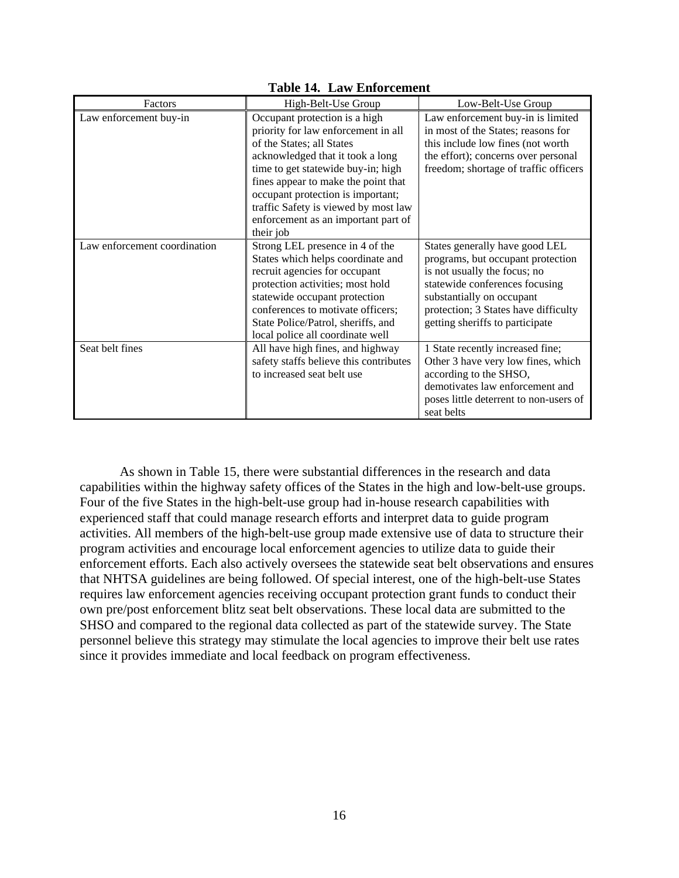<span id="page-24-0"></span>

| Factors                      | High-Belt-Use Group                    | Low-Belt-Use Group                     |
|------------------------------|----------------------------------------|----------------------------------------|
| Law enforcement buy-in       | Occupant protection is a high          | Law enforcement buy-in is limited      |
|                              | priority for law enforcement in all    | in most of the States; reasons for     |
|                              | of the States; all States              | this include low fines (not worth)     |
|                              | acknowledged that it took a long       | the effort); concerns over personal    |
|                              | time to get statewide buy-in; high     | freedom; shortage of traffic officers  |
|                              | fines appear to make the point that    |                                        |
|                              | occupant protection is important;      |                                        |
|                              | traffic Safety is viewed by most law   |                                        |
|                              | enforcement as an important part of    |                                        |
|                              | their job                              |                                        |
| Law enforcement coordination | Strong LEL presence in 4 of the        | States generally have good LEL         |
|                              | States which helps coordinate and      | programs, but occupant protection      |
|                              | recruit agencies for occupant          | is not usually the focus; no           |
|                              | protection activities; most hold       | statewide conferences focusing         |
|                              | statewide occupant protection          | substantially on occupant              |
|                              | conferences to motivate officers;      | protection; 3 States have difficulty   |
|                              | State Police/Patrol, sheriffs, and     | getting sheriffs to participate        |
|                              | local police all coordinate well       |                                        |
| Seat belt fines              | All have high fines, and highway       | 1 State recently increased fine;       |
|                              | safety staffs believe this contributes | Other 3 have very low fines, which     |
|                              | to increased seat belt use             | according to the SHSO,                 |
|                              |                                        | demotivates law enforcement and        |
|                              |                                        | poses little deterrent to non-users of |
|                              |                                        | seat belts                             |

#### **Table 14. Law Enforcement**

As shown in [Table 15,](#page-25-0) there were substantial differences in the research and data capabilities within the highway safety offices of the States in the high and low-belt-use groups. Four of the five States in the high-belt-use group had in-house research capabilities with experienced staff that could manage research efforts and interpret data to guide program activities. All members of the high-belt-use group made extensive use of data to structure their program activities and encourage local enforcement agencies to utilize data to guide their enforcement efforts. Each also actively oversees the statewide seat belt observations and ensures that NHTSA guidelines are being followed. Of special interest, one of the high-belt-use States requires law enforcement agencies receiving occupant protection grant funds to conduct their own pre/post enforcement blitz seat belt observations. These local data are submitted to the SHSO and compared to the regional data collected as part of the statewide survey. The State personnel believe this strategy may stimulate the local agencies to improve their belt use rates since it provides immediate and local feedback on program effectiveness.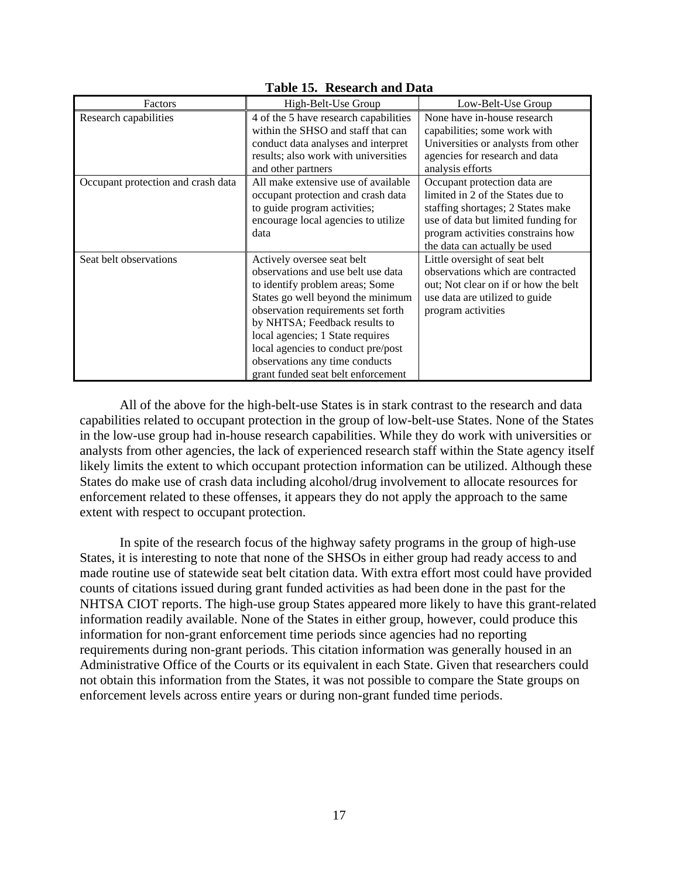<span id="page-25-0"></span>

| Factors                            | High-Belt-Use Group                                                                                                                                                                                                                                                                                                                                               | Low-Belt-Use Group                                                                                                                                                                                                  |
|------------------------------------|-------------------------------------------------------------------------------------------------------------------------------------------------------------------------------------------------------------------------------------------------------------------------------------------------------------------------------------------------------------------|---------------------------------------------------------------------------------------------------------------------------------------------------------------------------------------------------------------------|
| Research capabilities              | 4 of the 5 have research capabilities<br>within the SHSO and staff that can<br>conduct data analyses and interpret<br>results; also work with universities<br>and other partners                                                                                                                                                                                  | None have in-house research<br>capabilities; some work with<br>Universities or analysts from other<br>agencies for research and data<br>analysis efforts                                                            |
| Occupant protection and crash data | All make extensive use of available<br>occupant protection and crash data<br>to guide program activities;<br>encourage local agencies to utilize<br>data                                                                                                                                                                                                          | Occupant protection data are<br>limited in 2 of the States due to<br>staffing shortages; 2 States make<br>use of data but limited funding for<br>program activities constrains how<br>the data can actually be used |
| Seat belt observations             | Actively oversee seat belt<br>observations and use belt use data<br>to identify problem areas; Some<br>States go well beyond the minimum<br>observation requirements set forth<br>by NHTSA; Feedback results to<br>local agencies; 1 State requires<br>local agencies to conduct pre/post<br>observations any time conducts<br>grant funded seat belt enforcement | Little oversight of seat belt<br>observations which are contracted<br>out; Not clear on if or how the belt<br>use data are utilized to guide<br>program activities                                                  |

**Table 15. Research and Data**

All of the above for the high-belt-use States is in stark contrast to the research and data capabilities related to occupant protection in the group of low-belt-use States. None of the States in the low-use group had in-house research capabilities. While they do work with universities or analysts from other agencies, the lack of experienced research staff within the State agency itself likely limits the extent to which occupant protection information can be utilized. Although these States do make use of crash data including alcohol/drug involvement to allocate resources for enforcement related to these offenses, it appears they do not apply the approach to the same extent with respect to occupant protection.

In spite of the research focus of the highway safety programs in the group of high-use States, it is interesting to note that none of the SHSOs in either group had ready access to and made routine use of statewide seat belt citation data. With extra effort most could have provided counts of citations issued during grant funded activities as had been done in the past for the NHTSA CIOT reports. The high-use group States appeared more likely to have this grant-related information readily available. None of the States in either group, however, could produce this information for non-grant enforcement time periods since agencies had no reporting requirements during non-grant periods. This citation information was generally housed in an Administrative Office of the Courts or its equivalent in each State. Given that researchers could not obtain this information from the States, it was not possible to compare the State groups on enforcement levels across entire years or during non-grant funded time periods.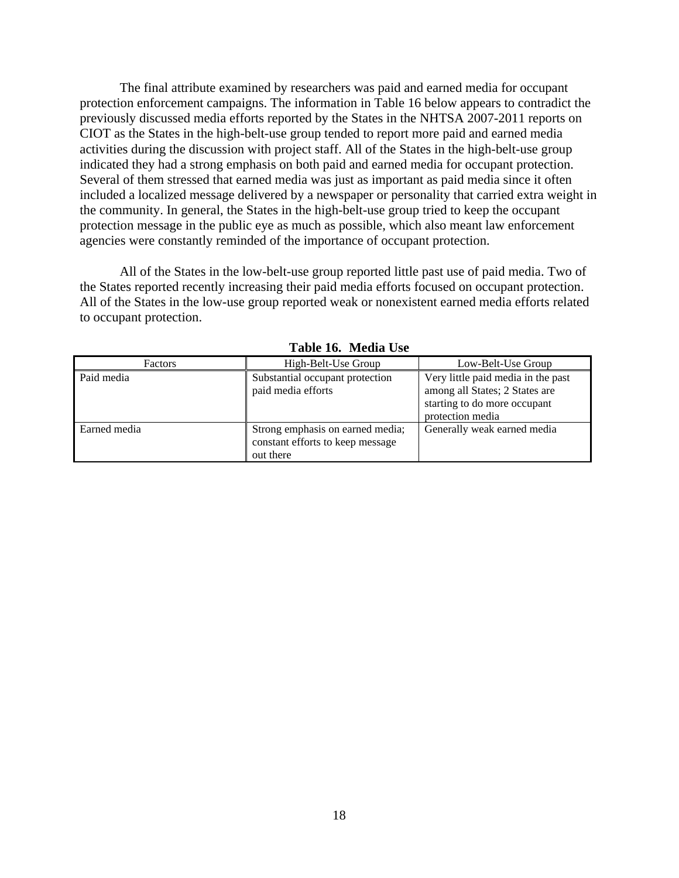The final attribute examined by researchers was paid and earned media for occupant protection enforcement campaigns. The information in [Table 16 below](#page-26-0) appears to contradict the previously discussed media efforts reported by the States in the NHTSA 2007-2011 reports on CIOT as the States in the high-belt-use group tended to report more paid and earned media activities during the discussion with project staff. All of the States in the high-belt-use group indicated they had a strong emphasis on both paid and earned media for occupant protection. Several of them stressed that earned media was just as important as paid media since it often included a localized message delivered by a newspaper or personality that carried extra weight in the community. In general, the States in the high-belt-use group tried to keep the occupant protection message in the public eye as much as possible, which also meant law enforcement agencies were constantly reminded of the importance of occupant protection.

All of the States in the low-belt-use group reported little past use of paid media. Two of the States reported recently increasing their paid media efforts focused on occupant protection. All of the States in the low-use group reported weak or nonexistent earned media efforts related to occupant protection.

<span id="page-26-0"></span>

| Factors      | High-Belt-Use Group                                                               | Low-Belt-Use Group                                                                                                       |
|--------------|-----------------------------------------------------------------------------------|--------------------------------------------------------------------------------------------------------------------------|
| Paid media   | Substantial occupant protection<br>paid media efforts                             | Very little paid media in the past<br>among all States; 2 States are<br>starting to do more occupant<br>protection media |
| Earned media | Strong emphasis on earned media;<br>constant efforts to keep message<br>out there | Generally weak earned media                                                                                              |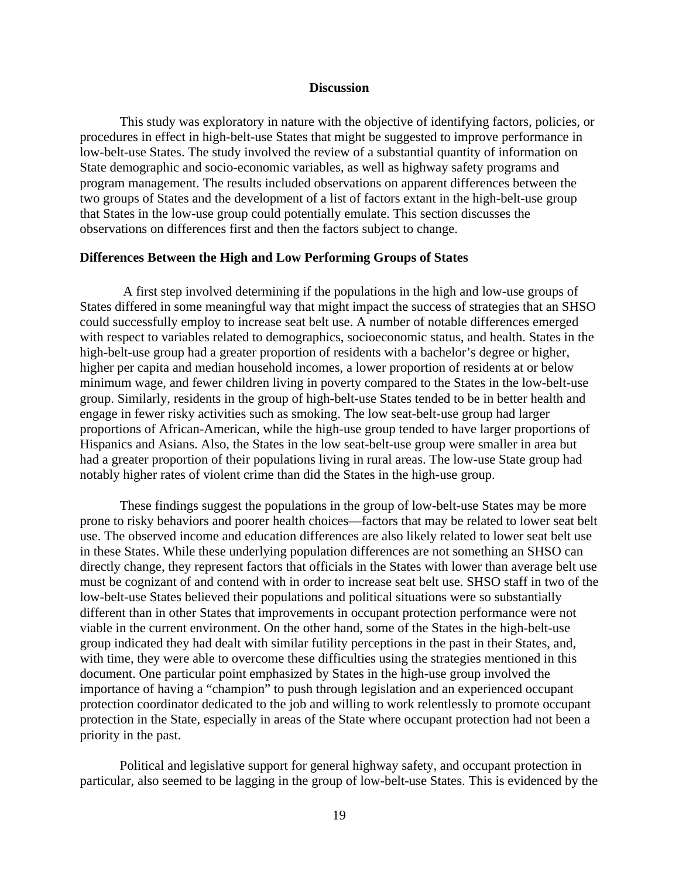#### **Discussion**

<span id="page-27-0"></span>This study was exploratory in nature with the objective of identifying factors, policies, or procedures in effect in high-belt-use States that might be suggested to improve performance in low-belt-use States. The study involved the review of a substantial quantity of information on State demographic and socio-economic variables, as well as highway safety programs and program management. The results included observations on apparent differences between the two groups of States and the development of a list of factors extant in the high-belt-use group that States in the low-use group could potentially emulate. This section discusses the observations on differences first and then the factors subject to change.

#### <span id="page-27-1"></span>**Differences Between the High and Low Performing Groups of States**

 A first step involved determining if the populations in the high and low-use groups of States differed in some meaningful way that might impact the success of strategies that an SHSO could successfully employ to increase seat belt use. A number of notable differences emerged with respect to variables related to demographics, socioeconomic status, and health. States in the high-belt-use group had a greater proportion of residents with a bachelor's degree or higher, higher per capita and median household incomes, a lower proportion of residents at or below minimum wage, and fewer children living in poverty compared to the States in the low-belt-use group. Similarly, residents in the group of high-belt-use States tended to be in better health and engage in fewer risky activities such as smoking. The low seat-belt-use group had larger proportions of African-American, while the high-use group tended to have larger proportions of Hispanics and Asians. Also, the States in the low seat-belt-use group were smaller in area but had a greater proportion of their populations living in rural areas. The low-use State group had notably higher rates of violent crime than did the States in the high-use group.

These findings suggest the populations in the group of low-belt-use States may be more prone to risky behaviors and poorer health choices—factors that may be related to lower seat belt use. The observed income and education differences are also likely related to lower seat belt use in these States. While these underlying population differences are not something an SHSO can directly change, they represent factors that officials in the States with lower than average belt use must be cognizant of and contend with in order to increase seat belt use. SHSO staff in two of the low-belt-use States believed their populations and political situations were so substantially different than in other States that improvements in occupant protection performance were not viable in the current environment. On the other hand, some of the States in the high-belt-use group indicated they had dealt with similar futility perceptions in the past in their States, and, with time, they were able to overcome these difficulties using the strategies mentioned in this document. One particular point emphasized by States in the high-use group involved the importance of having a "champion" to push through legislation and an experienced occupant protection coordinator dedicated to the job and willing to work relentlessly to promote occupant protection in the State, especially in areas of the State where occupant protection had not been a priority in the past.

Political and legislative support for general highway safety, and occupant protection in particular, also seemed to be lagging in the group of low-belt-use States. This is evidenced by the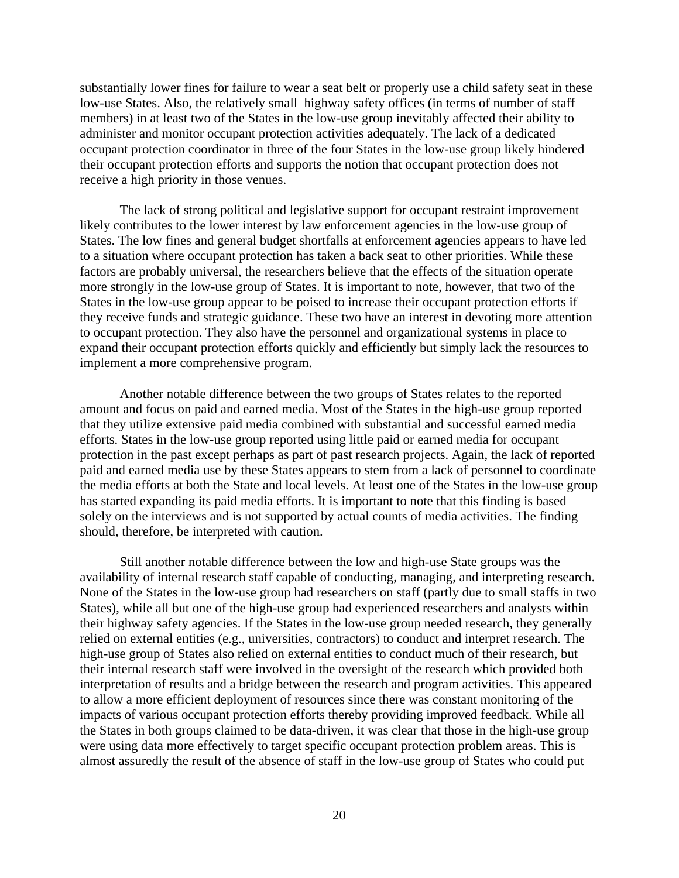substantially lower fines for failure to wear a seat belt or properly use a child safety seat in these low-use States. Also, the relatively small highway safety offices (in terms of number of staff members) in at least two of the States in the low-use group inevitably affected their ability to administer and monitor occupant protection activities adequately. The lack of a dedicated occupant protection coordinator in three of the four States in the low-use group likely hindered their occupant protection efforts and supports the notion that occupant protection does not receive a high priority in those venues.

The lack of strong political and legislative support for occupant restraint improvement likely contributes to the lower interest by law enforcement agencies in the low-use group of States. The low fines and general budget shortfalls at enforcement agencies appears to have led to a situation where occupant protection has taken a back seat to other priorities. While these factors are probably universal, the researchers believe that the effects of the situation operate more strongly in the low-use group of States. It is important to note, however, that two of the States in the low-use group appear to be poised to increase their occupant protection efforts if they receive funds and strategic guidance. These two have an interest in devoting more attention to occupant protection. They also have the personnel and organizational systems in place to expand their occupant protection efforts quickly and efficiently but simply lack the resources to implement a more comprehensive program.

Another notable difference between the two groups of States relates to the reported amount and focus on paid and earned media. Most of the States in the high-use group reported that they utilize extensive paid media combined with substantial and successful earned media efforts. States in the low-use group reported using little paid or earned media for occupant protection in the past except perhaps as part of past research projects. Again, the lack of reported paid and earned media use by these States appears to stem from a lack of personnel to coordinate the media efforts at both the State and local levels. At least one of the States in the low-use group has started expanding its paid media efforts. It is important to note that this finding is based solely on the interviews and is not supported by actual counts of media activities. The finding should, therefore, be interpreted with caution.

Still another notable difference between the low and high-use State groups was the availability of internal research staff capable of conducting, managing, and interpreting research. None of the States in the low-use group had researchers on staff (partly due to small staffs in two States), while all but one of the high-use group had experienced researchers and analysts within their highway safety agencies. If the States in the low-use group needed research, they generally relied on external entities (e.g., universities, contractors) to conduct and interpret research. The high-use group of States also relied on external entities to conduct much of their research, but their internal research staff were involved in the oversight of the research which provided both interpretation of results and a bridge between the research and program activities. This appeared to allow a more efficient deployment of resources since there was constant monitoring of the impacts of various occupant protection efforts thereby providing improved feedback. While all the States in both groups claimed to be data-driven, it was clear that those in the high-use group were using data more effectively to target specific occupant protection problem areas. This is almost assuredly the result of the absence of staff in the low-use group of States who could put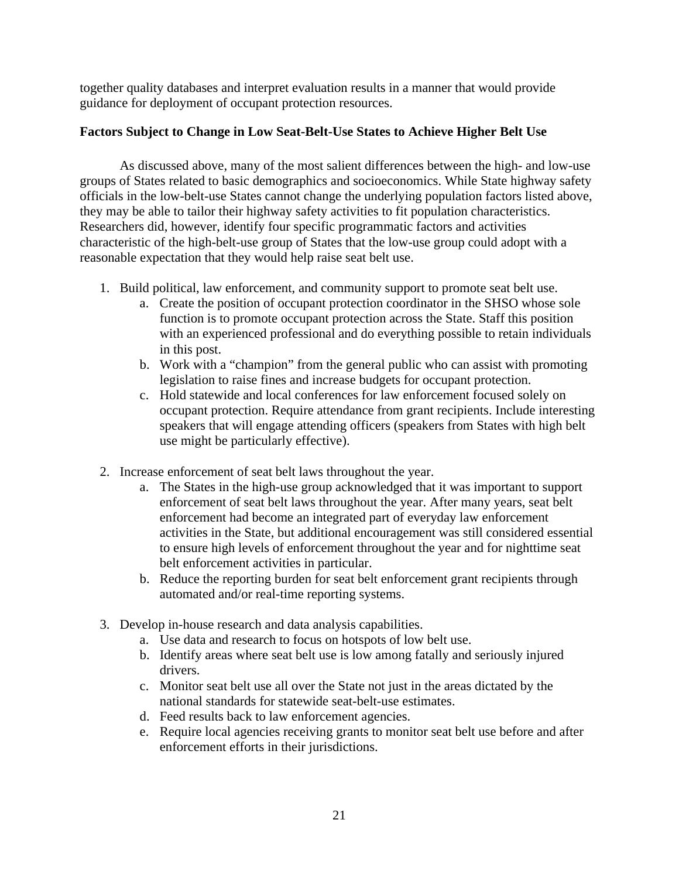together quality databases and interpret evaluation results in a manner that would provide guidance for deployment of occupant protection resources.

#### <span id="page-29-0"></span>**Factors Subject to Change in Low Seat-Belt-Use States to Achieve Higher Belt Use**

As discussed above, many of the most salient differences between the high- and low-use groups of States related to basic demographics and socioeconomics. While State highway safety officials in the low-belt-use States cannot change the underlying population factors listed above, they may be able to tailor their highway safety activities to fit population characteristics. Researchers did, however, identify four specific programmatic factors and activities characteristic of the high-belt-use group of States that the low-use group could adopt with a reasonable expectation that they would help raise seat belt use.

- 1. Build political, law enforcement, and community support to promote seat belt use.
	- a. Create the position of occupant protection coordinator in the SHSO whose sole function is to promote occupant protection across the State. Staff this position with an experienced professional and do everything possible to retain individuals in this post.
	- b. Work with a "champion" from the general public who can assist with promoting legislation to raise fines and increase budgets for occupant protection.
	- c. Hold statewide and local conferences for law enforcement focused solely on occupant protection. Require attendance from grant recipients. Include interesting speakers that will engage attending officers (speakers from States with high belt use might be particularly effective).
- 2. Increase enforcement of seat belt laws throughout the year.
	- a. The States in the high-use group acknowledged that it was important to support enforcement of seat belt laws throughout the year. After many years, seat belt enforcement had become an integrated part of everyday law enforcement activities in the State, but additional encouragement was still considered essential to ensure high levels of enforcement throughout the year and for nighttime seat belt enforcement activities in particular.
	- b. Reduce the reporting burden for seat belt enforcement grant recipients through automated and/or real-time reporting systems.
- 3. Develop in-house research and data analysis capabilities.
	- a. Use data and research to focus on hotspots of low belt use.
	- b. Identify areas where seat belt use is low among fatally and seriously injured drivers.
	- c. Monitor seat belt use all over the State not just in the areas dictated by the national standards for statewide seat-belt-use estimates.
	- d. Feed results back to law enforcement agencies.
	- e. Require local agencies receiving grants to monitor seat belt use before and after enforcement efforts in their jurisdictions.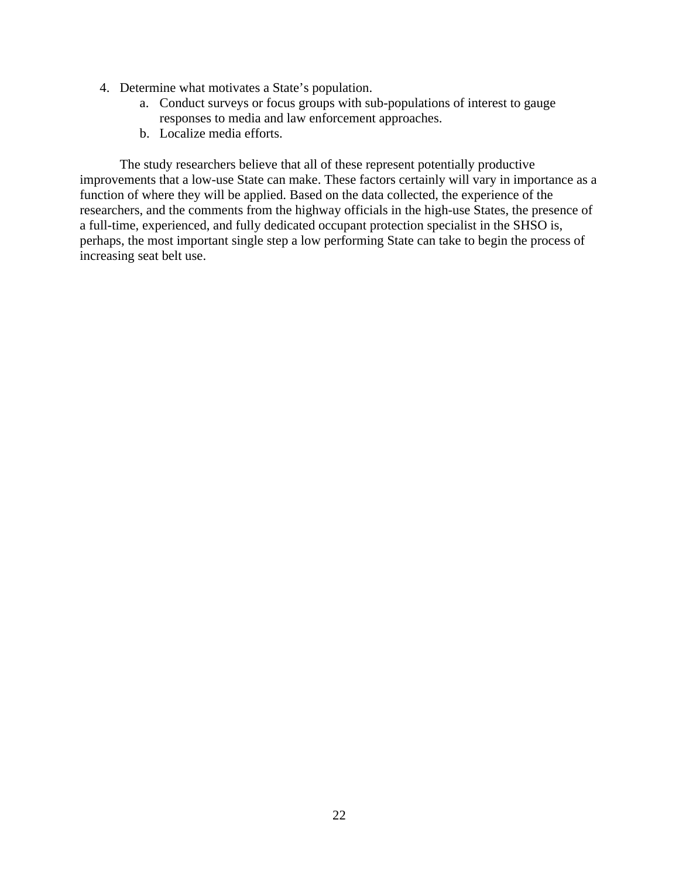- 4. Determine what motivates a State's population.
	- a. Conduct surveys or focus groups with sub-populations of interest to gauge responses to media and law enforcement approaches.
	- b. Localize media efforts.

The study researchers believe that all of these represent potentially productive improvements that a low-use State can make. These factors certainly will vary in importance as a function of where they will be applied. Based on the data collected, the experience of the researchers, and the comments from the highway officials in the high-use States, the presence of a full-time, experienced, and fully dedicated occupant protection specialist in the SHSO is, perhaps, the most important single step a low performing State can take to begin the process of increasing seat belt use.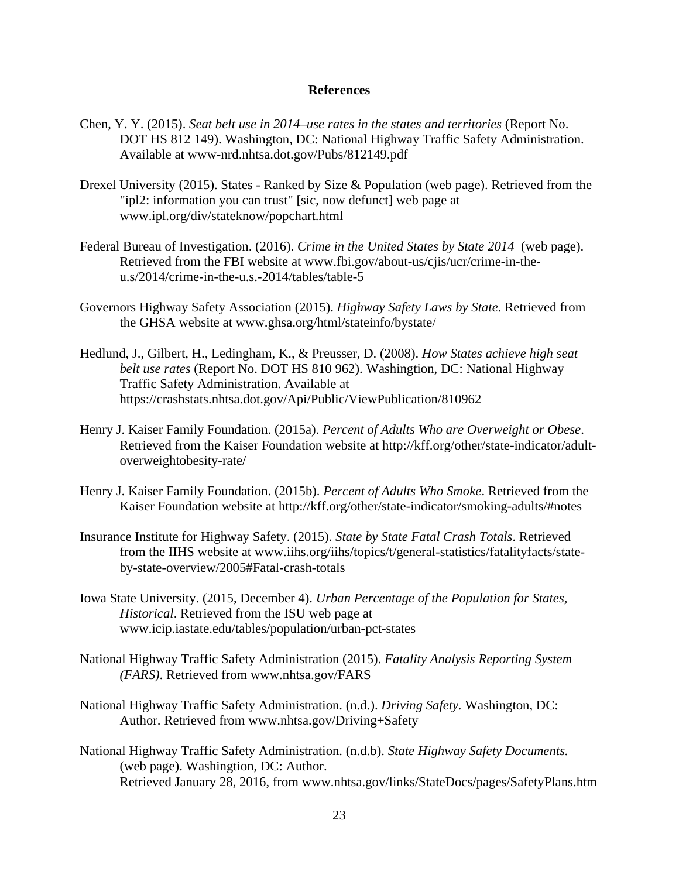#### **References**

- <span id="page-31-0"></span>Chen, Y. Y. (2015). *Seat belt use in 2014–use rates in the states and territories* (Report No. DOT HS 812 149). Washington, DC: National Highway Traffic Safety Administration. Available at www-nrd.nhtsa.dot.gov/Pubs/812149.pdf
- Drexel University (2015). States Ranked by Size & Population (web page). Retrieved from the "ipl2: information you can trust" [sic, now defunct] web page at www.ipl.org/div/stateknow/popchart.html
- Federal Bureau of Investigation. (2016). *Crime in the United States by State 2014* (web page). Retrieved from the FBI website at www.fbi.gov/about-us/cjis/ucr/crime-in-theu.s/2014/crime-in-the-u.s.-2014/tables/table-5
- Governors Highway Safety Association (2015). *Highway Safety Laws by State*. Retrieved from the GHSA website at www.ghsa.org/html/stateinfo/bystate/
- Hedlund, J., Gilbert, H., Ledingham, K., & Preusser, D. (2008). *How States achieve high seat belt use rates* (Report No. DOT HS 810 962). Washingtion, DC: National Highway Traffic Safety Administration. Available at https://crashstats.nhtsa.dot.gov/Api/Public/ViewPublication/810962
- Henry J. Kaiser Family Foundation. (2015a). *Percent of Adults Who are Overweight or Obese*. Retrieved from the Kaiser Foundation website at http://kff.org/other/state-indicator/adultoverweightobesity-rate/
- Henry J. Kaiser Family Foundation. (2015b). *Percent of Adults Who Smoke*. Retrieved from the Kaiser Foundation website at http://kff.org/other/state-indicator/smoking-adults/#notes
- Insurance Institute for Highway Safety. (2015). *State by State Fatal Crash Totals*. Retrieved from the IIHS website at www.iihs.org/iihs/topics/t/general-statistics/fatalityfacts/stateby-state-overview/2005#Fatal-crash-totals
- Iowa State University. (2015, December 4). *Urban Percentage of the Population for States, Historical*. Retrieved from the ISU web page at www.icip.iastate.edu/tables/population/urban-pct-states
- National Highway Traffic Safety Administration (2015). *Fatality Analysis Reporting System (FARS)*. Retrieved from www.nhtsa.gov/FARS
- National Highway Traffic Safety Administration. (n.d.). *Driving Safety.* Washington, DC: Author. Retrieved from www.nhtsa.gov/Driving+Safety
- National Highway Traffic Safety Administration. (n.d.b). *State Highway Safety Documents.*  (web page). Washingtion, DC: Author. Retrieved January 28, 2016, from www.nhtsa.gov/links/StateDocs/pages/SafetyPlans.htm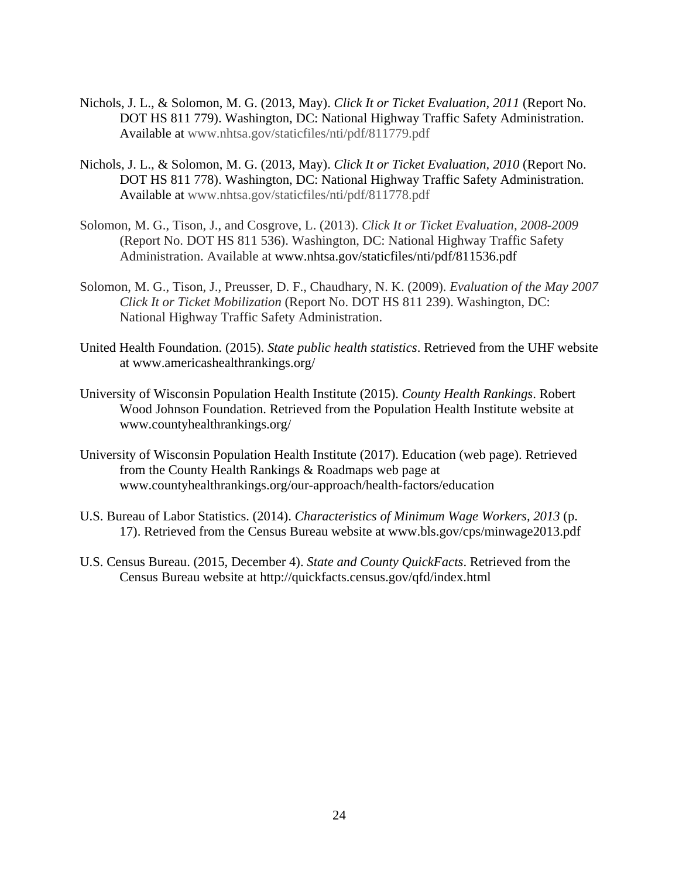- Nichols, J. L., & Solomon, M. G. (2013, May). *Click It or Ticket Evaluation, 2011* (Report No. DOT HS 811 779). Washington, DC: National Highway Traffic Safety Administration. Available at www.nhtsa.gov/staticfiles/nti/pdf/811779.pdf
- Nichols, J. L., & Solomon, M. G. (2013, May). *Click It or Ticket Evaluation, 2010* (Report No. DOT HS 811 778). Washington, DC: National Highway Traffic Safety Administration. Available at www.nhtsa.gov/staticfiles/nti/pdf/811778.pdf
- Solomon, M. G., Tison, J., and Cosgrove, L. (2013). *Click It or Ticket Evaluation, 2008-2009*  (Report No. DOT HS 811 536). Washington, DC: National Highway Traffic Safety Administration. Available at www.nhtsa.gov/staticfiles/nti/pdf/811536.pdf
- Solomon, M. G., Tison, J., Preusser, D. F., Chaudhary, N. K. (2009). *Evaluation of the May 2007 Click It or Ticket Mobilization* (Report No. DOT HS 811 239). Washington, DC: National Highway Traffic Safety Administration.
- United Health Foundation. (2015). *State public health statistics*. Retrieved from the UHF website at www.americashealthrankings.org/
- University of Wisconsin Population Health Institute (2015). *County Health Rankings*. Robert Wood Johnson Foundation. Retrieved from the Population Health Institute website at www.countyhealthrankings.org/
- University of Wisconsin Population Health Institute (2017). Education (web page). Retrieved from the County Health Rankings & Roadmaps web page at www.countyhealthrankings.org/our-approach/health-factors/education
- U.S. Bureau of Labor Statistics. (2014). *Characteristics of Minimum Wage Workers, 2013* (p. 17). Retrieved from the Census Bureau website at www.bls.gov/cps/minwage2013.pdf
- U.S. Census Bureau. (2015, December 4). *State and County QuickFacts*. Retrieved from the Census Bureau website at http://quickfacts.census.gov/qfd/index.html